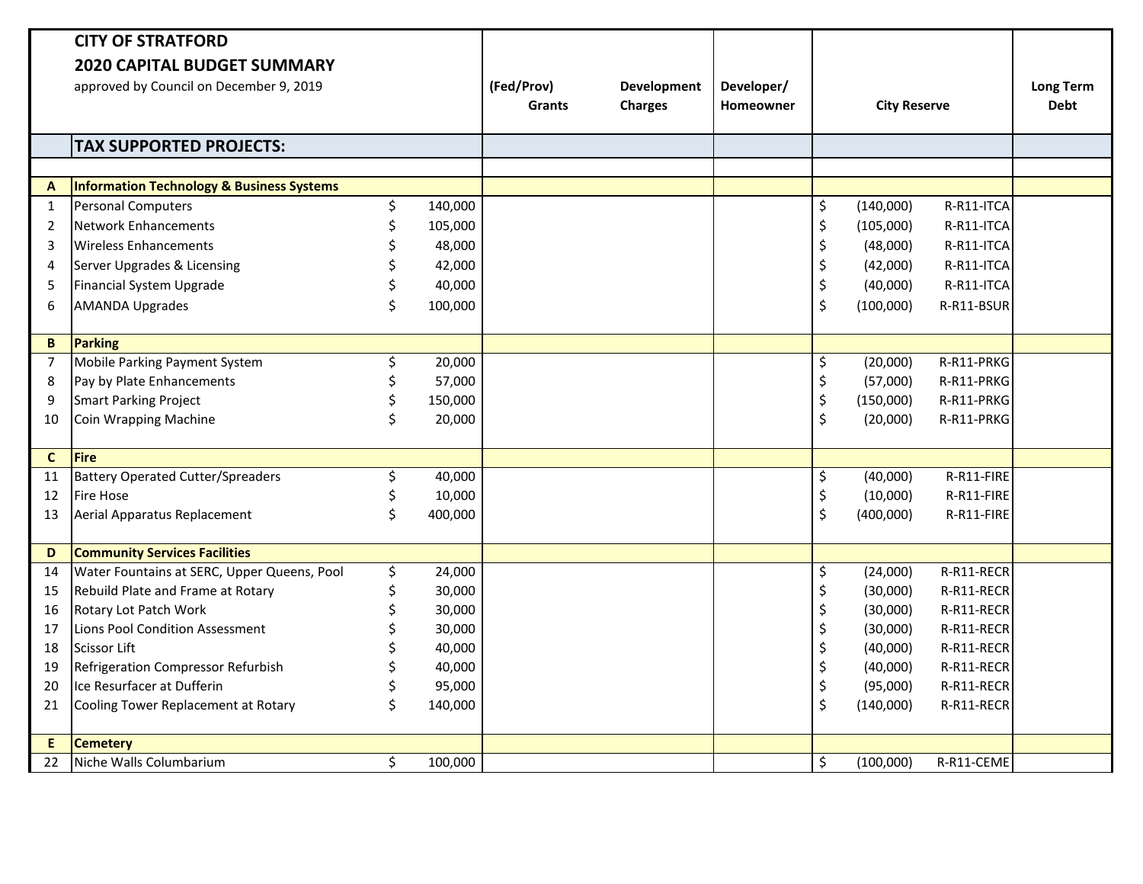|                | <b>CITY OF STRATFORD</b>                    |    |         |               |                |            |                                |                     |            |                  |
|----------------|---------------------------------------------|----|---------|---------------|----------------|------------|--------------------------------|---------------------|------------|------------------|
|                | <b>2020 CAPITAL BUDGET SUMMARY</b>          |    |         |               |                |            |                                |                     |            |                  |
|                | approved by Council on December 9, 2019     |    |         | (Fed/Prov)    | Development    | Developer/ |                                |                     |            | <b>Long Term</b> |
|                |                                             |    |         | <b>Grants</b> | <b>Charges</b> | Homeowner  |                                | <b>City Reserve</b> |            | <b>Debt</b>      |
|                |                                             |    |         |               |                |            |                                |                     |            |                  |
|                | <b>TAX SUPPORTED PROJECTS:</b>              |    |         |               |                |            |                                |                     |            |                  |
|                |                                             |    |         |               |                |            |                                |                     |            |                  |
| A              | Information Technology & Business Systems   |    |         |               |                |            |                                |                     |            |                  |
| $\mathbf{1}$   | Personal Computers                          | \$ | 140,000 |               |                |            | \$                             | (140,000)           | R-R11-ITCA |                  |
| $\overline{2}$ | Network Enhancements                        | \$ | 105,000 |               |                |            | $\boldsymbol{\dot{\varsigma}}$ | (105,000)           | R-R11-ITCA |                  |
| 3              | <b>Wireless Enhancements</b>                | \$ | 48,000  |               |                |            | \$                             | (48,000)            | R-R11-ITCA |                  |
| 4              | Server Upgrades & Licensing                 | \$ | 42,000  |               |                |            | \$                             | (42,000)            | R-R11-ITCA |                  |
| 5              | Financial System Upgrade                    | \$ | 40,000  |               |                |            | \$                             | (40,000)            | R-R11-ITCA |                  |
| 6              | <b>AMANDA Upgrades</b>                      | \$ | 100,000 |               |                |            | $\zeta$                        | (100,000)           | R-R11-BSUR |                  |
|                |                                             |    |         |               |                |            |                                |                     |            |                  |
| B              | Parking                                     |    |         |               |                |            |                                |                     |            |                  |
| $\overline{7}$ | Mobile Parking Payment System               | \$ | 20,000  |               |                |            | \$                             | (20,000)            | R-R11-PRKG |                  |
| 8              | Pay by Plate Enhancements                   | \$ | 57,000  |               |                |            | \$                             | (57,000)            | R-R11-PRKG |                  |
| 9              | Smart Parking Project                       | \$ | 150,000 |               |                |            | \$                             | (150,000)           | R-R11-PRKG |                  |
| 10             | Coin Wrapping Machine                       | \$ | 20,000  |               |                |            | $\zeta$                        | (20,000)            | R-R11-PRKG |                  |
|                |                                             |    |         |               |                |            |                                |                     |            |                  |
| $\mathbf{C}$   | Fire                                        |    |         |               |                |            |                                |                     |            |                  |
| 11             | <b>Battery Operated Cutter/Spreaders</b>    | \$ | 40,000  |               |                |            | \$                             | (40,000)            | R-R11-FIRE |                  |
| 12             | <b>Fire Hose</b>                            | \$ | 10,000  |               |                |            | \$                             | (10,000)            | R-R11-FIRE |                  |
| 13             | Aerial Apparatus Replacement                | \$ | 400,000 |               |                |            | $\zeta$                        | (400,000)           | R-R11-FIRE |                  |
|                |                                             |    |         |               |                |            |                                |                     |            |                  |
| D              | <b>Community Services Facilities</b>        |    |         |               |                |            |                                |                     |            |                  |
| 14             | Water Fountains at SERC, Upper Queens, Pool | \$ | 24,000  |               |                |            | \$                             | (24,000)            | R-R11-RECR |                  |
| 15             | Rebuild Plate and Frame at Rotary           | \$ | 30,000  |               |                |            | \$                             | (30,000)            | R-R11-RECR |                  |
| 16             | Rotary Lot Patch Work                       | \$ | 30,000  |               |                |            | \$                             | (30,000)            | R-R11-RECR |                  |
| 17             | Lions Pool Condition Assessment             | Ś  | 30,000  |               |                |            | \$                             | (30,000)            | R-R11-RECR |                  |
| 18             | <b>Scissor Lift</b>                         |    | 40,000  |               |                |            | \$                             | (40,000)            | R-R11-RECR |                  |
| 19             | Refrigeration Compressor Refurbish          | \$ | 40,000  |               |                |            | \$                             | (40,000)            | R-R11-RECR |                  |
| 20             | Ice Resurfacer at Dufferin                  | Ś  | 95,000  |               |                |            | \$                             | (95,000)            | R-R11-RECR |                  |
| 21             | Cooling Tower Replacement at Rotary         | \$ | 140,000 |               |                |            | $\zeta$                        | (140,000)           | R-R11-RECR |                  |
| E.             | <b>Cemetery</b>                             |    |         |               |                |            |                                |                     |            |                  |
| 22             | Niche Walls Columbarium                     | \$ | 100,000 |               |                |            | \$                             | (100,000)           | R-R11-CEME |                  |
|                |                                             |    |         |               |                |            |                                |                     |            |                  |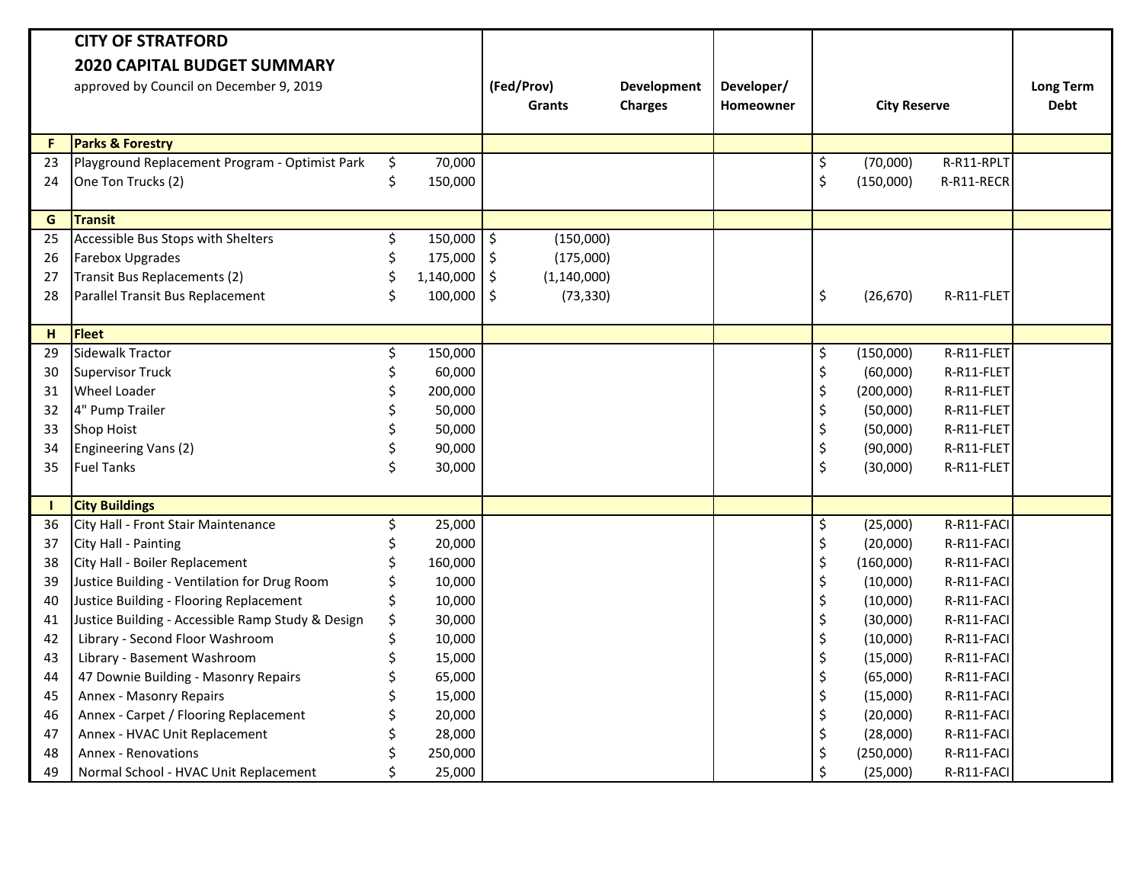|    | <b>CITY OF STRATFORD</b>                          |    |           |                     |                |                  |                     |            |                  |
|----|---------------------------------------------------|----|-----------|---------------------|----------------|------------------|---------------------|------------|------------------|
|    | <b>2020 CAPITAL BUDGET SUMMARY</b>                |    |           |                     |                |                  |                     |            |                  |
|    | approved by Council on December 9, 2019           |    |           | (Fed/Prov)          | Development    | Developer/       |                     |            | <b>Long Term</b> |
|    |                                                   |    |           | <b>Grants</b>       | <b>Charges</b> | <b>Homeowner</b> | <b>City Reserve</b> |            | <b>Debt</b>      |
| F. | <b>Parks &amp; Forestry</b>                       |    |           |                     |                |                  |                     |            |                  |
| 23 | Playground Replacement Program - Optimist Park    | \$ | 70,000    |                     |                |                  | \$<br>(70,000)      | R-R11-RPLT |                  |
| 24 | One Ton Trucks (2)                                | \$ | 150,000   |                     |                |                  | \$<br>(150,000)     | R-R11-RECR |                  |
|    |                                                   |    |           |                     |                |                  |                     |            |                  |
| G  | <b>Transit</b>                                    |    |           |                     |                |                  |                     |            |                  |
| 25 | Accessible Bus Stops with Shelters                | \$ | 150,000   | \$<br>(150,000)     |                |                  |                     |            |                  |
| 26 | <b>Farebox Upgrades</b>                           | \$ | 175,000   | \$<br>(175,000)     |                |                  |                     |            |                  |
| 27 | Transit Bus Replacements (2)                      | Ś. | 1,140,000 | \$<br>(1, 140, 000) |                |                  |                     |            |                  |
| 28 | Parallel Transit Bus Replacement                  | \$ | 100,000   | \$<br>(73, 330)     |                |                  | \$<br>(26, 670)     | R-R11-FLET |                  |
|    |                                                   |    |           |                     |                |                  |                     |            |                  |
| н  | Fleet                                             |    |           |                     |                |                  |                     |            |                  |
| 29 | Sidewalk Tractor                                  | \$ | 150,000   |                     |                |                  | \$<br>(150,000)     | R-R11-FLET |                  |
| 30 | <b>Supervisor Truck</b>                           | \$ | 60,000    |                     |                |                  | \$<br>(60,000)      | R-R11-FLET |                  |
| 31 | <b>Wheel Loader</b>                               | \$ | 200,000   |                     |                |                  | \$<br>(200,000)     | R-R11-FLET |                  |
| 32 | 4" Pump Trailer                                   |    | 50,000    |                     |                |                  | \$<br>(50,000)      | R-R11-FLET |                  |
| 33 | <b>Shop Hoist</b>                                 | \$ | 50,000    |                     |                |                  | \$<br>(50,000)      | R-R11-FLET |                  |
| 34 | Engineering Vans (2)                              | \$ | 90,000    |                     |                |                  | \$<br>(90,000)      | R-R11-FLET |                  |
| 35 | <b>Fuel Tanks</b>                                 | \$ | 30,000    |                     |                |                  | \$<br>(30,000)      | R-R11-FLET |                  |
|    |                                                   |    |           |                     |                |                  |                     |            |                  |
| Т. | <b>City Buildings</b>                             |    |           |                     |                |                  |                     |            |                  |
| 36 | City Hall - Front Stair Maintenance               | \$ | 25,000    |                     |                |                  | \$<br>(25,000)      | R-R11-FACI |                  |
| 37 | City Hall - Painting                              | \$ | 20,000    |                     |                |                  | \$<br>(20,000)      | R-R11-FACI |                  |
| 38 | City Hall - Boiler Replacement                    | \$ | 160,000   |                     |                |                  | \$<br>(160,000)     | R-R11-FACI |                  |
| 39 | Justice Building - Ventilation for Drug Room      |    | 10,000    |                     |                |                  | \$<br>(10,000)      | R-R11-FACI |                  |
| 40 | Justice Building - Flooring Replacement           | \$ | 10,000    |                     |                |                  | \$<br>(10,000)      | R-R11-FACI |                  |
| 41 | Justice Building - Accessible Ramp Study & Design | \$ | 30,000    |                     |                |                  | \$<br>(30,000)      | R-R11-FACI |                  |
| 42 | Library - Second Floor Washroom                   | \$ | 10,000    |                     |                |                  | \$<br>(10,000)      | R-R11-FACI |                  |
| 43 | Library - Basement Washroom                       |    | 15,000    |                     |                |                  | \$<br>(15,000)      | R-R11-FACI |                  |
| 44 | 47 Downie Building - Masonry Repairs              |    | 65,000    |                     |                |                  | \$<br>(65,000)      | R-R11-FACI |                  |
| 45 | Annex - Masonry Repairs                           |    | 15,000    |                     |                |                  | \$<br>(15,000)      | R-R11-FACI |                  |
| 46 | Annex - Carpet / Flooring Replacement             | \$ | 20,000    |                     |                |                  | \$<br>(20,000)      | R-R11-FACI |                  |
| 47 | Annex - HVAC Unit Replacement                     |    | 28,000    |                     |                |                  | \$<br>(28,000)      | R-R11-FACI |                  |
| 48 | <b>Annex - Renovations</b>                        |    | 250,000   |                     |                |                  | \$<br>(250,000)     | R-R11-FACI |                  |
| 49 | Normal School - HVAC Unit Replacement             | \$ | 25,000    |                     |                |                  | (25,000)            | R-R11-FACI |                  |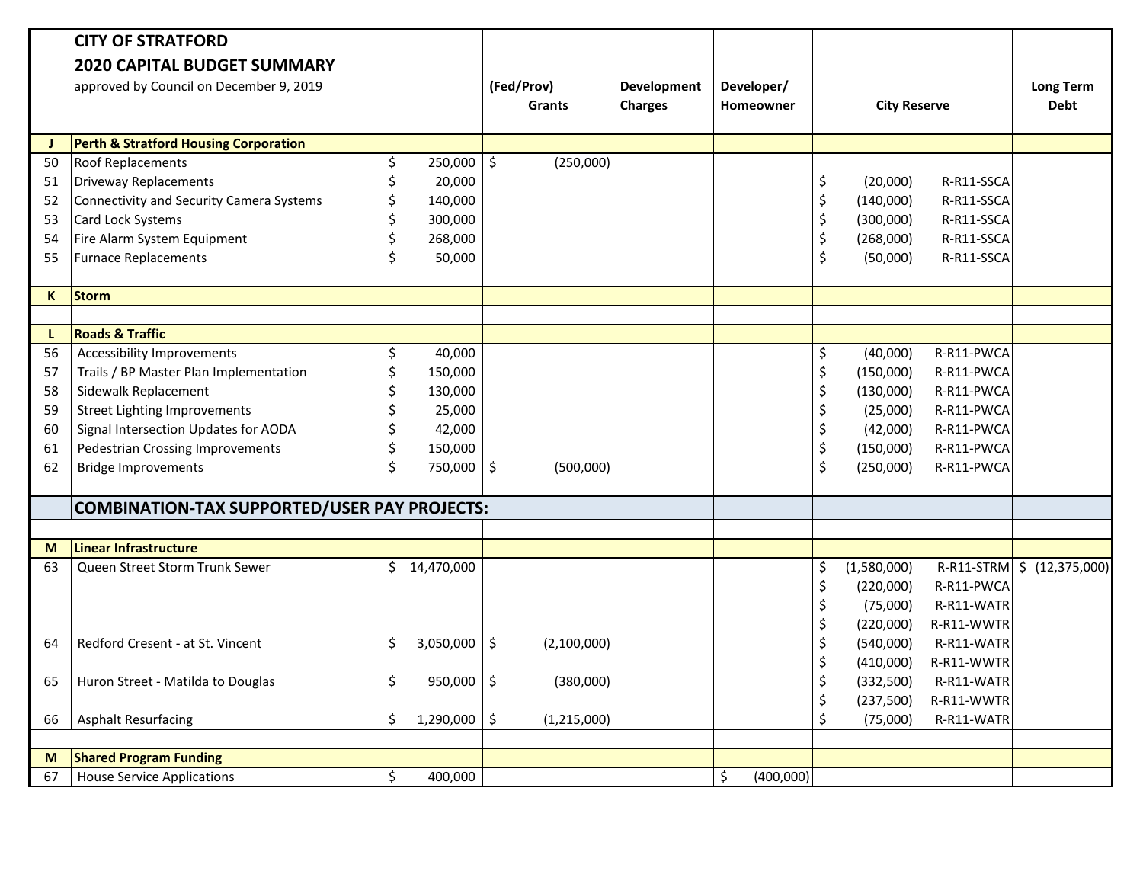|              | <b>CITY OF STRATFORD</b>                            |                           |                |               |                |                 |         |                     |            |                  |
|--------------|-----------------------------------------------------|---------------------------|----------------|---------------|----------------|-----------------|---------|---------------------|------------|------------------|
|              | <b>2020 CAPITAL BUDGET SUMMARY</b>                  |                           |                |               |                |                 |         |                     |            |                  |
|              | approved by Council on December 9, 2019             |                           | (Fed/Prov)     |               | Development    | Developer/      |         |                     |            | <b>Long Term</b> |
|              |                                                     |                           |                | <b>Grants</b> | <b>Charges</b> | Homeowner       |         | <b>City Reserve</b> |            | <b>Debt</b>      |
| J            | <b>Perth &amp; Stratford Housing Corporation</b>    |                           |                |               |                |                 |         |                     |            |                  |
| 50           | <b>Roof Replacements</b><br>Ś.                      | 250,000                   | $\ddot{\zeta}$ | (250,000)     |                |                 |         |                     |            |                  |
| 51           | <b>Driveway Replacements</b>                        | 20,000                    |                |               |                |                 | \$      | (20,000)            | R-R11-SSCA |                  |
| 52           | Connectivity and Security Camera Systems            | 140,000                   |                |               |                |                 | \$      | (140,000)           | R-R11-SSCA |                  |
| 53           | Card Lock Systems                                   | 300,000                   |                |               |                |                 | \$      | (300,000)           | R-R11-SSCA |                  |
| 54           | Fire Alarm System Equipment                         | 268,000                   |                |               |                |                 | \$      | (268,000)           | R-R11-SSCA |                  |
| 55           | <b>Furnace Replacements</b>                         | 50,000                    |                |               |                |                 | $\zeta$ | (50,000)            | R-R11-SSCA |                  |
|              |                                                     |                           |                |               |                |                 |         |                     |            |                  |
| $\mathsf{K}$ | <b>Storm</b>                                        |                           |                |               |                |                 |         |                     |            |                  |
|              |                                                     |                           |                |               |                |                 |         |                     |            |                  |
| L            | <b>Roads &amp; Traffic</b>                          |                           |                |               |                |                 |         |                     |            |                  |
| 56           | <b>Accessibility Improvements</b><br>Ś.             | 40,000                    |                |               |                |                 | \$      | (40,000)            | R-R11-PWCA |                  |
| 57           | Trails / BP Master Plan Implementation              | 150,000                   |                |               |                |                 | \$      | (150,000)           | R-R11-PWCA |                  |
| 58           | Sidewalk Replacement                                | 130,000                   |                |               |                |                 | \$      | (130,000)           | R-R11-PWCA |                  |
| 59           | <b>Street Lighting Improvements</b>                 | 25,000                    |                |               |                |                 | \$      | (25,000)            | R-R11-PWCA |                  |
| 60           | Signal Intersection Updates for AODA                | 42,000                    |                |               |                |                 | \$      | (42,000)            | R-R11-PWCA |                  |
| 61           | <b>Pedestrian Crossing Improvements</b>             | 150,000                   |                |               |                |                 | \$      | (150,000)           | R-R11-PWCA |                  |
| 62           | <b>Bridge Improvements</b>                          | 750,000 \$                |                | (500,000)     |                |                 | \$      | (250,000)           | R-R11-PWCA |                  |
|              |                                                     |                           |                |               |                |                 |         |                     |            |                  |
|              | <b>COMBINATION-TAX SUPPORTED/USER PAY PROJECTS:</b> |                           |                |               |                |                 |         |                     |            |                  |
|              |                                                     |                           |                |               |                |                 |         |                     |            |                  |
| M            | Linear Infrastructure                               |                           |                |               |                |                 |         |                     |            |                  |
| 63           | Ś.<br>Queen Street Storm Trunk Sewer                | 14,470,000                |                |               |                |                 | \$      | (1,580,000)         | R-R11-STRM | \$ (12,375,000)  |
|              |                                                     |                           |                |               |                |                 | \$      | (220,000)           | R-R11-PWCA |                  |
|              |                                                     |                           |                |               |                |                 | \$      | (75,000)            | R-R11-WATR |                  |
|              |                                                     |                           |                |               |                |                 | \$      | (220,000)           | R-R11-WWTR |                  |
| 64           | Redford Cresent - at St. Vincent<br>S               | $3,050,000$ $\frac{1}{5}$ |                | (2,100,000)   |                |                 | \$      | (540,000)           | R-R11-WATR |                  |
|              |                                                     |                           |                |               |                |                 | \$      | (410,000)           | R-R11-WWTR |                  |
| 65           | Huron Street - Matilda to Douglas<br>\$             | 950,000 \$                |                | (380,000)     |                |                 | \$      | (332, 500)          | R-R11-WATR |                  |
|              |                                                     |                           |                |               |                |                 | \$      | (237,500)           | R-R11-WWTR |                  |
| 66           | <b>Asphalt Resurfacing</b><br>\$.                   | $1,290,000$ \$            |                | (1, 215, 000) |                |                 | \$      | (75,000)            | R-R11-WATR |                  |
|              |                                                     |                           |                |               |                |                 |         |                     |            |                  |
| M            | <b>Shared Program Funding</b>                       |                           |                |               |                |                 |         |                     |            |                  |
| 67           | <b>House Service Applications</b><br>\$             | 400,000                   |                |               |                | \$<br>(400,000) |         |                     |            |                  |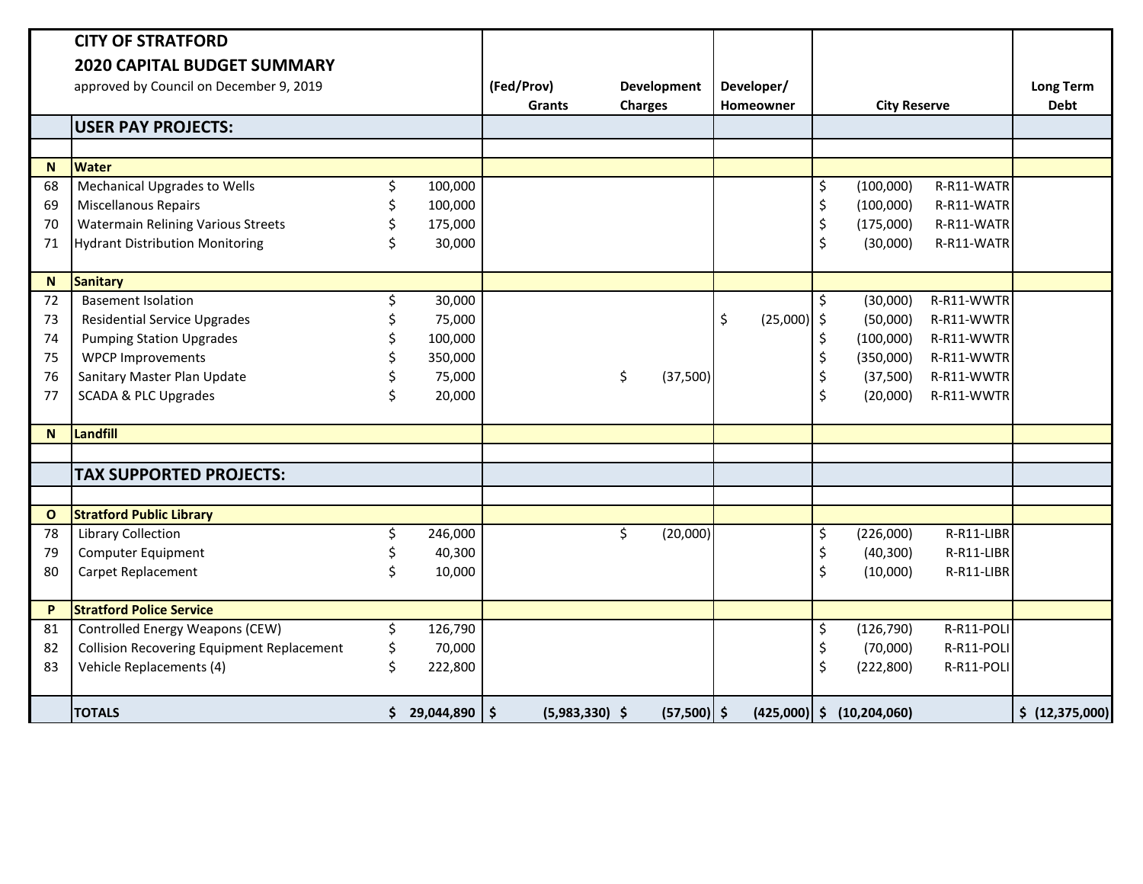|                | <b>CITY OF STRATFORD</b>                          |    |              |                                              |                |                     |                     |            |                  |
|----------------|---------------------------------------------------|----|--------------|----------------------------------------------|----------------|---------------------|---------------------|------------|------------------|
|                | <b>2020 CAPITAL BUDGET SUMMARY</b>                |    |              |                                              |                |                     |                     |            |                  |
|                | approved by Council on December 9, 2019           |    |              | (Fed/Prov)                                   | Development    | Developer/          |                     |            | <b>Long Term</b> |
|                |                                                   |    |              | <b>Grants</b>                                | <b>Charges</b> | <b>Homeowner</b>    | <b>City Reserve</b> |            | <b>Debt</b>      |
|                | <b>USER PAY PROJECTS:</b>                         |    |              |                                              |                |                     |                     |            |                  |
|                |                                                   |    |              |                                              |                |                     |                     |            |                  |
| N <sub>1</sub> | <b>Water</b>                                      |    |              |                                              |                |                     |                     |            |                  |
| 68             | Mechanical Upgrades to Wells                      | \$ | 100,000      |                                              |                |                     | \$<br>(100,000)     | R-R11-WATR |                  |
| 69             | <b>Miscellanous Repairs</b>                       | \$ | 100,000      |                                              |                |                     | \$<br>(100,000)     | R-R11-WATR |                  |
| 70             | <b>Watermain Relining Various Streets</b>         |    | 175,000      |                                              |                |                     | \$<br>(175,000)     | R-R11-WATR |                  |
| 71             | <b>Hydrant Distribution Monitoring</b>            |    | 30,000       |                                              |                |                     | \$<br>(30,000)      | R-R11-WATR |                  |
|                |                                                   |    |              |                                              |                |                     |                     |            |                  |
| N              | <b>Sanitary</b>                                   |    |              |                                              |                |                     |                     |            |                  |
| 72             | <b>Basement Isolation</b>                         |    | 30,000       |                                              |                |                     | \$<br>(30,000)      | R-R11-WWTR |                  |
| 73             | <b>Residential Service Upgrades</b>               |    | 75,000       |                                              |                | \$<br>$(25,000)$ \$ | (50,000)            | R-R11-WWTR |                  |
| 74             | <b>Pumping Station Upgrades</b>                   |    | 100,000      |                                              |                |                     | \$<br>(100,000)     | R-R11-WWTR |                  |
| 75             | <b>WPCP Improvements</b>                          |    | 350,000      |                                              |                |                     | \$<br>(350,000)     | R-R11-WWTR |                  |
| 76             | Sanitary Master Plan Update                       |    | 75,000       |                                              | \$<br>(37,500) |                     | \$<br>(37,500)      | R-R11-WWTR |                  |
| 77             | <b>SCADA &amp; PLC Upgrades</b>                   |    | 20,000       |                                              |                |                     | \$<br>(20,000)      | R-R11-WWTR |                  |
|                |                                                   |    |              |                                              |                |                     |                     |            |                  |
| N              | Landfill                                          |    |              |                                              |                |                     |                     |            |                  |
|                |                                                   |    |              |                                              |                |                     |                     |            |                  |
|                | <b>TAX SUPPORTED PROJECTS:</b>                    |    |              |                                              |                |                     |                     |            |                  |
|                |                                                   |    |              |                                              |                |                     |                     |            |                  |
| $\mathbf{o}$   | <b>Stratford Public Library</b>                   |    |              |                                              |                |                     |                     |            |                  |
| 78             | Library Collection                                | Ś. | 246,000      |                                              | \$<br>(20,000) |                     | \$<br>(226,000)     | R-R11-LIBR |                  |
| 79             | Computer Equipment                                |    | 40,300       |                                              |                |                     | \$<br>(40, 300)     | R-R11-LIBR |                  |
| 80             | Carpet Replacement                                |    | 10,000       |                                              |                |                     | \$<br>(10,000)      | R-R11-LIBR |                  |
|                |                                                   |    |              |                                              |                |                     |                     |            |                  |
| P              | <b>Stratford Police Service</b>                   |    |              |                                              |                |                     |                     |            |                  |
| 81             | Controlled Energy Weapons (CEW)                   | \$ | 126,790      |                                              |                |                     | \$<br>(126, 790)    | R-R11-POLI |                  |
| 82             | <b>Collision Recovering Equipment Replacement</b> | \$ | 70,000       |                                              |                |                     | \$<br>(70,000)      | R-R11-POLI |                  |
| 83             | Vehicle Replacements (4)                          | \$ | 222,800      |                                              |                |                     | \$<br>(222, 800)    | R-R11-POLI |                  |
|                |                                                   |    |              |                                              |                |                     |                     |            |                  |
|                | <b>TOTALS</b>                                     |    | \$29,044,890 | $\vert \mathsf{s} \vert$<br>$(5,983,330)$ \$ | $(57,500)$ \$  | $(425,000)$ \$      | (10, 204, 060)      |            | \$ (12,375,000)  |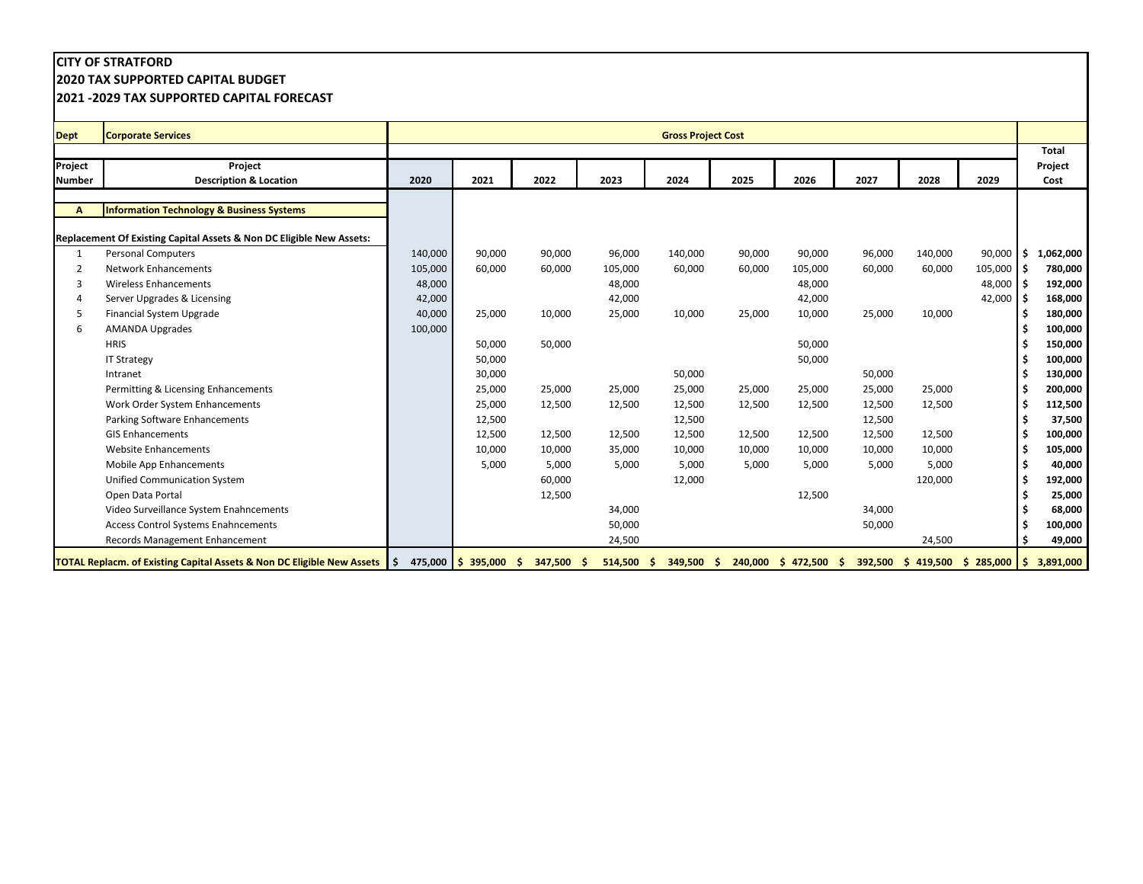**2020 TAX SUPPORTED CAPITAL BUDGET**

| <b>Dept</b>   | <b>Corporate Services</b>                                                         |         |                       |            |              | <b>Gross Project Cost</b> |        |                         |        |         |                                    |           |
|---------------|-----------------------------------------------------------------------------------|---------|-----------------------|------------|--------------|---------------------------|--------|-------------------------|--------|---------|------------------------------------|-----------|
|               |                                                                                   |         |                       |            |              |                           |        |                         |        |         |                                    | Total     |
| Project       | Project                                                                           |         |                       |            |              |                           |        |                         |        |         |                                    | Project   |
| <b>Number</b> | <b>Description &amp; Location</b>                                                 | 2020    | 2021                  | 2022       | 2023         | 2024                      | 2025   | 2026                    | 2027   | 2028    | 2029                               | Cost      |
|               |                                                                                   |         |                       |            |              |                           |        |                         |        |         |                                    |           |
| A             | <b>Information Technology &amp; Business Systems</b>                              |         |                       |            |              |                           |        |                         |        |         |                                    |           |
|               |                                                                                   |         |                       |            |              |                           |        |                         |        |         |                                    |           |
|               | Replacement Of Existing Capital Assets & Non DC Eligible New Assets:              |         |                       |            |              |                           |        |                         |        |         |                                    |           |
|               | <b>Personal Computers</b>                                                         | 140,000 | 90,000                | 90,000     | 96,000       | 140,000                   | 90,000 | 90,000                  | 96,000 | 140,000 | $90,000$ \$                        | 1,062,000 |
|               | <b>Network Enhancements</b>                                                       | 105,000 | 60,000                | 60,000     | 105,000      | 60,000                    | 60,000 | 105,000                 | 60,000 | 60,000  | $105,000$ \$                       | 780,000   |
| 3             | <b>Wireless Enhancements</b>                                                      | 48,000  |                       |            | 48,000       |                           |        | 48,000                  |        |         | 48,000 \$                          | 192,000   |
|               | Server Upgrades & Licensing                                                       | 42,000  |                       |            | 42,000       |                           |        | 42,000                  |        |         | $42,000$ \$                        | 168,000   |
|               | Financial System Upgrade                                                          | 40,000  | 25,000                | 10,000     | 25,000       | 10,000                    | 25,000 | 10,000                  | 25,000 | 10,000  |                                    | 180,000   |
|               | <b>AMANDA Upgrades</b>                                                            | 100,000 |                       |            |              |                           |        |                         |        |         |                                    | 100,000   |
|               | <b>HRIS</b>                                                                       |         | 50,000                | 50,000     |              |                           |        | 50,000                  |        |         |                                    | 150,000   |
|               | <b>IT Strategy</b>                                                                |         | 50,000                |            |              |                           |        | 50,000                  |        |         |                                    | 100,000   |
|               | Intranet                                                                          |         | 30,000                |            |              | 50,000                    |        |                         | 50,000 |         |                                    | 130,000   |
|               | Permitting & Licensing Enhancements                                               |         | 25,000                | 25,000     | 25,000       | 25,000                    | 25,000 | 25,000                  | 25,000 | 25,000  |                                    | 200,000   |
|               | Work Order System Enhancements                                                    |         | 25,000                | 12,500     | 12,500       | 12,500                    | 12,500 | 12,500                  | 12,500 | 12,500  |                                    | 112,500   |
|               | Parking Software Enhancements                                                     |         | 12,500                |            |              | 12,500                    |        |                         | 12,500 |         |                                    | 37,500    |
|               | <b>GIS Enhancements</b>                                                           |         | 12,500                | 12,500     | 12,500       | 12,500                    | 12,500 | 12,500                  | 12,500 | 12,500  |                                    | 100,000   |
|               | <b>Website Enhancements</b>                                                       |         | 10,000                | 10,000     | 35,000       | 10,000                    | 10,000 | 10,000                  | 10,000 | 10,000  |                                    | 105,000   |
|               | Mobile App Enhancements                                                           |         | 5,000                 | 5,000      | 5,000        | 5,000                     | 5,000  | 5,000                   | 5,000  | 5,000   |                                    | 40,000    |
|               | <b>Unified Communication System</b>                                               |         |                       | 60,000     |              | 12,000                    |        |                         |        | 120,000 |                                    | 192,000   |
|               | Open Data Portal                                                                  |         |                       | 12,500     |              |                           |        | 12,500                  |        |         |                                    | 25,000    |
|               | Video Surveillance System Enahncements                                            |         |                       |            | 34,000       |                           |        |                         | 34,000 |         |                                    | 68,000    |
|               | <b>Access Control Systems Enahncements</b>                                        |         |                       |            | 50,000       |                           |        |                         | 50,000 |         |                                    | 100,000   |
|               | Records Management Enhancement                                                    |         |                       |            | 24,500       |                           |        |                         |        | 24,500  |                                    | 49,000    |
|               | <b>TOTAL Replacm. of Existing Capital Assets &amp; Non DC Eligible New Assets</b> | I S     | 475,000 \$ 395,000 \$ | 347,500 \$ | $514,500$ \$ | 349,500                   | -S     | $240,000$ \$ 472,500 \$ |        |         | $392,500$ \$ 419,500 \$ 285,000 \$ | 3,891,000 |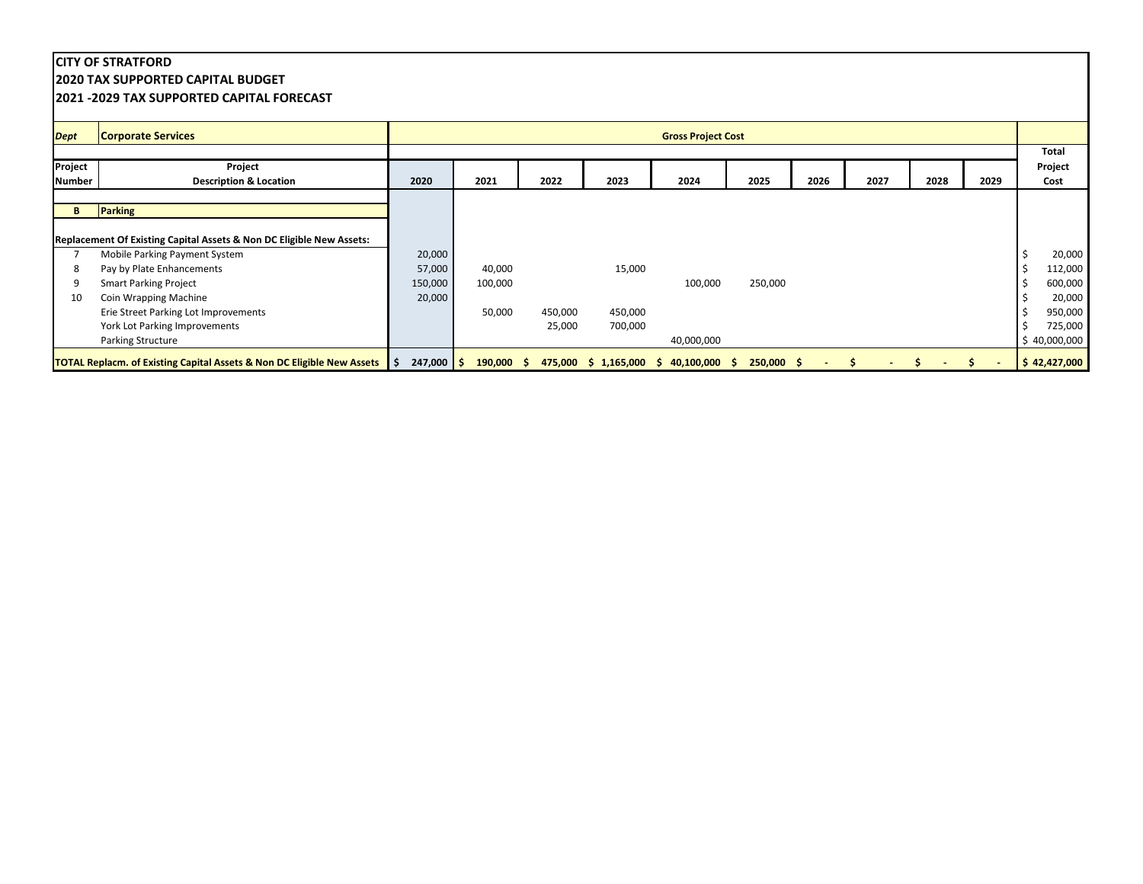**2020 TAX SUPPORTED CAPITAL BUDGET**

|               | <b>2021 -2029 TAX SUPPORTED CAPITAL FORECAST</b>                                  |                                |                   |         |         |                                               |              |      |      |      |      |                          |
|---------------|-----------------------------------------------------------------------------------|--------------------------------|-------------------|---------|---------|-----------------------------------------------|--------------|------|------|------|------|--------------------------|
| <b>Dept</b>   | <b>Corporate Services</b>                                                         |                                |                   |         |         | <b>Gross Project Cost</b>                     |              |      |      |      |      |                          |
|               |                                                                                   |                                |                   |         |         |                                               |              |      |      |      |      | Total                    |
| Project       | Project                                                                           |                                |                   |         |         |                                               |              |      |      |      |      | Project                  |
| <b>Number</b> | <b>Description &amp; Location</b>                                                 | 2020                           | 2021              | 2022    | 2023    | 2024                                          | 2025         | 2026 | 2027 | 2028 | 2029 | Cost                     |
|               |                                                                                   |                                |                   |         |         |                                               |              |      |      |      |      |                          |
| B             | <b>Parking</b>                                                                    |                                |                   |         |         |                                               |              |      |      |      |      |                          |
|               | Replacement Of Existing Capital Assets & Non DC Eligible New Assets:              |                                |                   |         |         |                                               |              |      |      |      |      |                          |
|               | Mobile Parking Payment System                                                     | 20,000                         |                   |         |         |                                               |              |      |      |      |      | 20,000                   |
|               | Pay by Plate Enhancements                                                         | 57,000                         | 40,000            |         | 15,000  |                                               |              |      |      |      |      | 112,000                  |
|               | <b>Smart Parking Project</b>                                                      | 150,000                        | 100,000           |         |         | 100,000                                       | 250,000      |      |      |      |      | 600,000                  |
| 10            | Coin Wrapping Machine                                                             | 20,000                         |                   |         |         |                                               |              |      |      |      |      | 20,000                   |
|               | Erie Street Parking Lot Improvements                                              |                                | 50,000            | 450,000 | 450,000 |                                               |              |      |      |      |      | 950,000                  |
|               | York Lot Parking Improvements                                                     |                                |                   | 25,000  | 700,000 |                                               |              |      |      |      |      | 725,000                  |
|               | Parking Structure                                                                 |                                |                   |         |         | 40,000,000                                    |              |      |      |      |      | \$40,000,000             |
|               | <b>TOTAL Replacm. of Existing Capital Assets &amp; Non DC Eligible New Assets</b> | $247,000$ \$<br>$\blacksquare$ | $190,000 \quad $$ |         |         | $475,000 \div 1,165,000 \div 40,100,000 \div$ | $250,000$ \$ |      |      |      |      | $\frac{1}{2}$ 42,427,000 |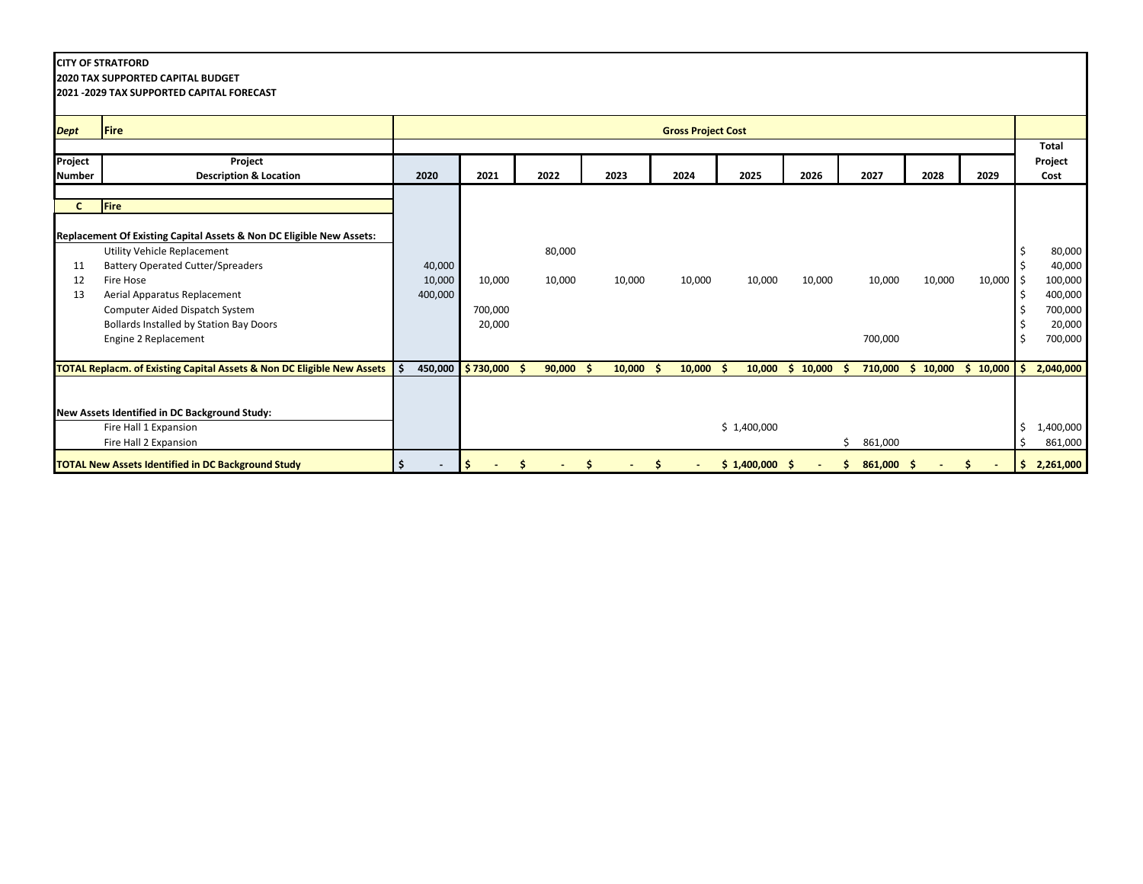**2020 TAX SUPPORTED CAPITAL BUDGET**

| <b>Dept</b>   | <b>Fire</b>                                                                       |         |           |             |             | <b>Gross Project Cost</b> |             |          |                  |          |             |    |              |
|---------------|-----------------------------------------------------------------------------------|---------|-----------|-------------|-------------|---------------------------|-------------|----------|------------------|----------|-------------|----|--------------|
|               |                                                                                   |         |           |             |             |                           |             |          |                  |          |             |    | <b>Total</b> |
| Project       | Project                                                                           |         |           |             |             |                           |             |          |                  |          |             |    | Project      |
| <b>Number</b> | <b>Description &amp; Location</b>                                                 | 2020    | 2021      | 2022        | 2023        | 2024                      | 2025        | 2026     | 2027             | 2028     | 2029        |    | Cost         |
|               |                                                                                   |         |           |             |             |                           |             |          |                  |          |             |    |              |
| C             | <b>Fire</b>                                                                       |         |           |             |             |                           |             |          |                  |          |             |    |              |
|               |                                                                                   |         |           |             |             |                           |             |          |                  |          |             |    |              |
|               | Replacement Of Existing Capital Assets & Non DC Eligible New Assets:              |         |           |             |             |                           |             |          |                  |          |             |    |              |
|               | Utility Vehicle Replacement                                                       |         |           | 80,000      |             |                           |             |          |                  |          |             |    | 80,000       |
| 11            | <b>Battery Operated Cutter/Spreaders</b>                                          | 40,000  |           |             |             |                           |             |          |                  |          |             |    | 40,000       |
| 12            | Fire Hose                                                                         | 10,000  | 10,000    | 10,000      | 10,000      | 10,000                    | 10,000      | 10,000   | 10,000           | 10,000   | $10,000$ \$ |    | 100,000      |
| 13            | Aerial Apparatus Replacement                                                      | 400,000 |           |             |             |                           |             |          |                  |          |             |    | 400,000      |
|               | Computer Aided Dispatch System                                                    |         | 700,000   |             |             |                           |             |          |                  |          |             |    | 700,000      |
|               | Bollards Installed by Station Bay Doors                                           |         | 20,000    |             |             |                           |             |          |                  |          |             |    | 20,000       |
|               | Engine 2 Replacement                                                              |         |           |             |             |                           |             |          | 700,000          |          |             |    | 700,000      |
|               |                                                                                   |         |           |             |             |                           |             |          |                  |          |             |    |              |
|               | <b>TOTAL Replacm. of Existing Capital Assets &amp; Non DC Eligible New Assets</b> | 450,000 | \$730,000 | $90,000$ \$ | $10,000$ \$ | $10,000$ \$               | 10,000      | \$10,000 | 710,000<br>-S    | \$10,000 | \$10,000    |    | 2,040,000    |
|               |                                                                                   |         |           |             |             |                           |             |          |                  |          |             |    |              |
|               |                                                                                   |         |           |             |             |                           |             |          |                  |          |             |    |              |
|               | New Assets Identified in DC Background Study:                                     |         |           |             |             |                           |             |          |                  |          |             |    |              |
|               | Fire Hall 1 Expansion                                                             |         |           |             |             |                           | \$1,400,000 |          |                  |          |             |    | 1,400,000    |
|               | Fire Hall 2 Expansion                                                             |         |           |             |             |                           |             |          | 861,000          |          |             |    | 861,000      |
|               | <b>TOTAL New Assets Identified in DC Background Study</b>                         |         |           | Ś           |             | $\blacksquare$            | \$1,400,000 | -S       | 861,000 \$<br>S. |          | s           | -S | 2,261,000    |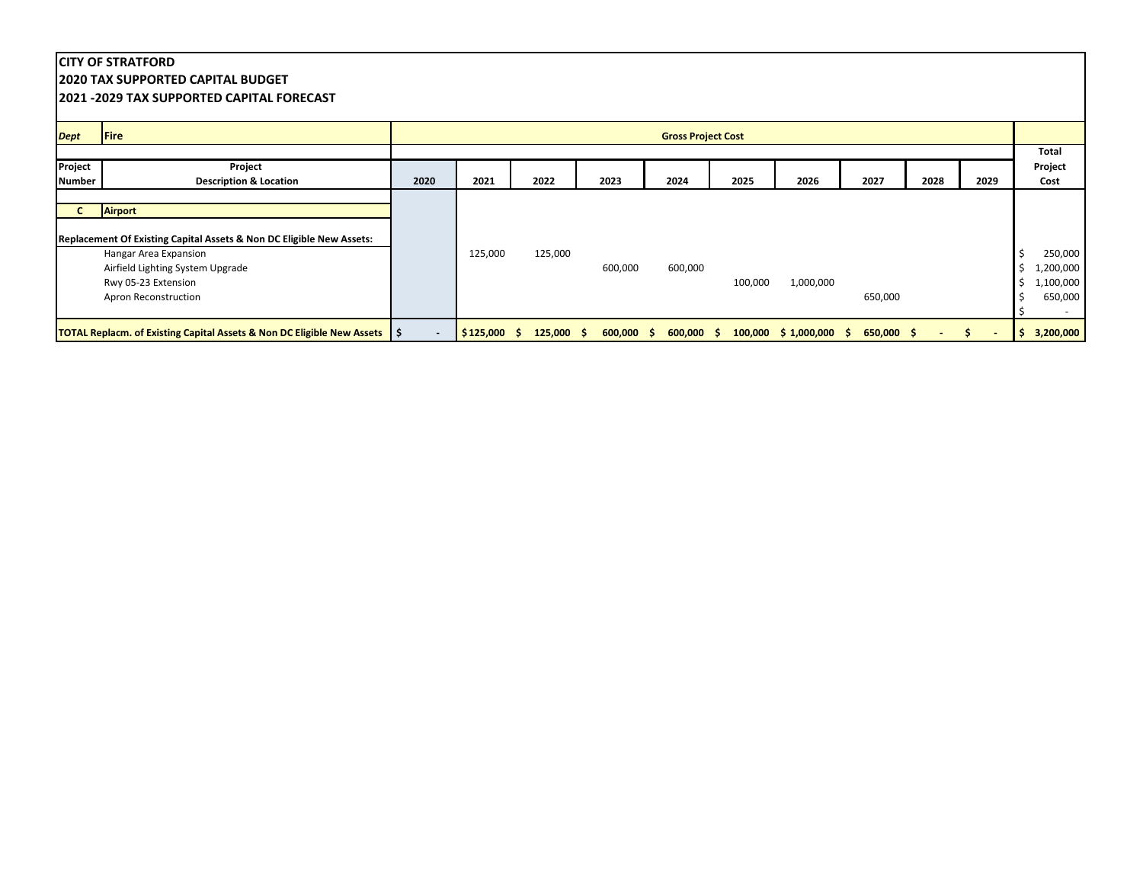|                          | <b>ICITY OF STRATFORD</b><br><b>12020 TAX SUPPORTED CAPITAL BUDGET</b><br><b>12021 -2029 TAX SUPPORTED CAPITAL FORECAST</b> |      |               |              |            |                           |         |           |              |      |      |                                                                         |
|--------------------------|-----------------------------------------------------------------------------------------------------------------------------|------|---------------|--------------|------------|---------------------------|---------|-----------|--------------|------|------|-------------------------------------------------------------------------|
| <b>Dept</b>              | Fire                                                                                                                        |      |               |              |            | <b>Gross Project Cost</b> |         |           |              |      |      |                                                                         |
|                          |                                                                                                                             |      |               |              |            |                           |         |           |              |      |      | Total                                                                   |
| Project<br><b>Number</b> | Project<br><b>Description &amp; Location</b>                                                                                | 2020 | 2021          | 2022         | 2023       | 2024                      | 2025    | 2026      | 2027         | 2028 | 2029 | Project<br>Cost                                                         |
|                          | Airport<br>Replacement Of Existing Capital Assets & Non DC Eligible New Assets:<br>Hangar Area Expansion                    |      | 125,000       | 125,000      |            |                           |         |           |              |      |      | 250,000                                                                 |
|                          | Airfield Lighting System Upgrade<br>Rwy 05-23 Extension<br>Apron Reconstruction                                             |      |               |              | 600,000    | 600,000                   | 100,000 | 1,000,000 | 650,000      |      |      | ,200,000<br>Ŝ.<br>1,100,000<br>Ś<br>650,000<br>$\overline{\phantom{a}}$ |
|                          | <b>TOTAL Replacm. of Existing Capital Assets &amp; Non DC Eligible New Assets   \$</b>                                      |      | $$125,000$ \$ | $125,000$ \$ | 600,000 \$ | $600,000$ \$              |         |           | $650,000$ \$ |      | S.   | 3,200,000<br>S.                                                         |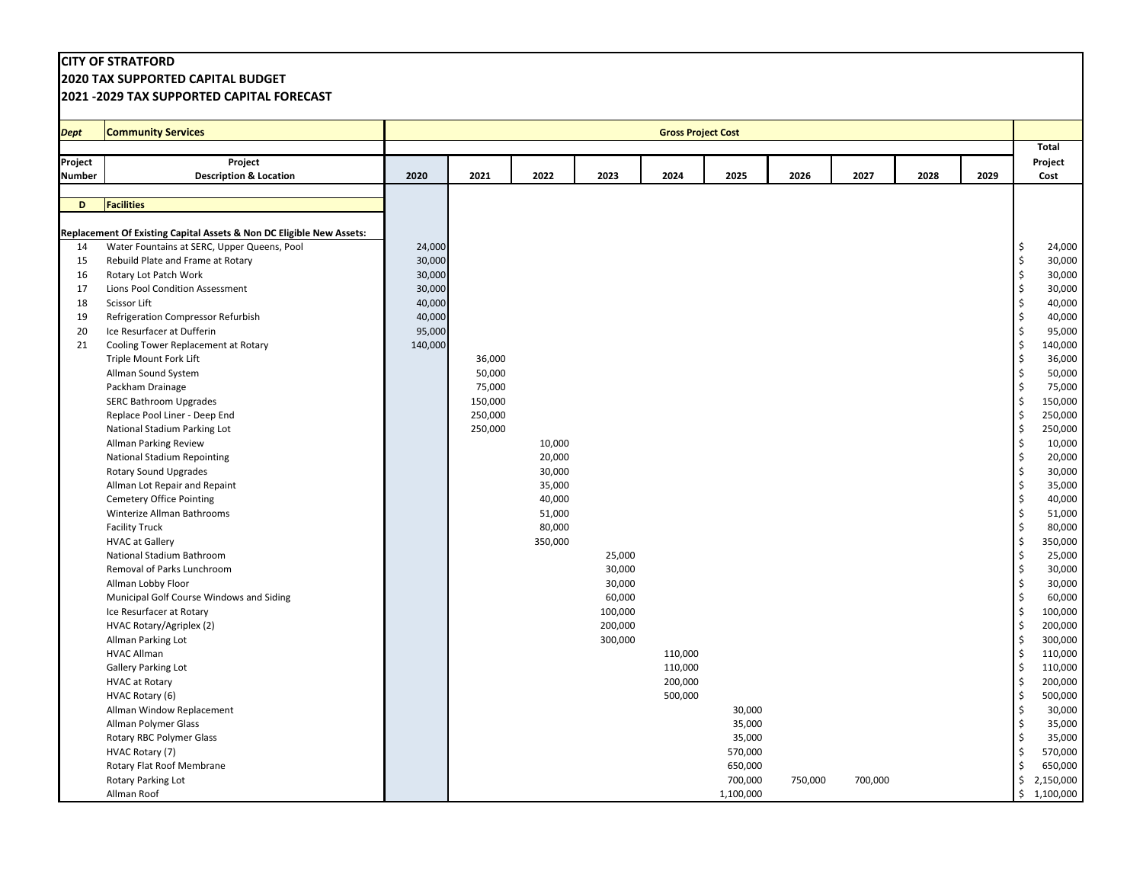**2020 TAX SUPPORTED CAPITAL BUDGET**

| <b>Total</b><br>Project<br>Project<br>Project<br>2022<br>2023<br>2025<br>2028<br><b>Description &amp; Location</b><br>2020<br>2021<br>2024<br>2026<br>2027<br>2029<br>Cost<br>Number<br><b>Facilities</b><br>D<br>Replacement Of Existing Capital Assets & Non DC Eligible New Assets:<br>Water Fountains at SERC, Upper Queens, Pool<br>24,000<br>14<br>\$.<br>30,000<br>15<br>Rebuild Plate and Frame at Rotary<br>\$<br>\$<br>16<br>Rotary Lot Patch Work<br>30,000<br>30,000<br>Lions Pool Condition Assessment<br>30,000<br>\$<br>17<br>\$<br>Scissor Lift<br>40,000<br>40,000<br>18<br>40,000<br>40,000<br>19<br>Refrigeration Compressor Refurbish<br>\$<br>95,000<br>20<br>Ice Resurfacer at Dufferin<br>\$<br>95,000<br>140,000<br>140,000<br>\$<br>21<br>Cooling Tower Replacement at Rotary<br>\$<br>36,000<br>Triple Mount Fork Lift<br>36,000<br>50,000<br>50,000<br>\$<br>Allman Sound System<br>75,000<br>\$<br>75,000<br>Packham Drainage<br>$\zeta$<br>150,000<br>150,000<br><b>SERC Bathroom Upgrades</b><br>\$<br>250,000<br>250,000<br>Replace Pool Liner - Deep End<br>250,000<br>\$<br>250,000<br>National Stadium Parking Lot<br>\$<br>10,000<br>10,000<br>Allman Parking Review<br>\$<br>20,000<br>20,000<br>National Stadium Repointing<br>\$<br>Rotary Sound Upgrades<br>30,000<br>30,000<br>$\zeta$<br>35,000<br>Allman Lot Repair and Repaint<br>35,000<br>\$<br>40,000<br><b>Cemetery Office Pointing</b><br>40,000<br>\$<br>51,000<br>Winterize Allman Bathrooms<br>51,000<br>80,000<br>80,000<br><b>Facility Truck</b><br>\$<br>350,000<br>\$<br>350,000<br><b>HVAC at Gallery</b><br>National Stadium Bathroom<br>25,000<br>\$<br>25,000<br>Removal of Parks Lunchroom<br>30,000<br>\$<br>30,000<br>30,000<br>30,000<br>Allman Lobby Floor<br>\$<br>60,000<br>Municipal Golf Course Windows and Siding<br>60,000<br>\$<br>100,000<br>\$<br>100,000<br>Ice Resurfacer at Rotary<br>$\zeta$<br>200,000<br>200,000<br>HVAC Rotary/Agriplex (2)<br>300,000<br>300,000<br>\$<br>Allman Parking Lot<br>\$<br>110,000<br><b>HVAC Allman</b><br>110,000<br>110,000<br>110,000<br>\$<br>Gallery Parking Lot<br>200,000<br>200,000<br><b>HVAC at Rotary</b><br>\$<br>500,000<br>500,000<br>HVAC Rotary (6)<br>\$<br>Allman Window Replacement<br>30,000<br>\$<br>30,000<br>35,000<br>35,000<br>Allman Polymer Glass<br>\$<br>Rotary RBC Polymer Glass<br>35,000<br>\$<br>35,000<br>570,000<br>570,000<br>\$<br>HVAC Rotary (7)<br>650,000<br>Rotary Flat Roof Membrane<br>650,000<br>Ś<br>Rotary Parking Lot<br>700,000<br>\$<br>2,150,000<br>750,000<br>700,000 | <b>Dept</b> | <b>Community Services</b> |  |  | <b>Gross Project Cost</b> |           |  |  |                 |
|----------------------------------------------------------------------------------------------------------------------------------------------------------------------------------------------------------------------------------------------------------------------------------------------------------------------------------------------------------------------------------------------------------------------------------------------------------------------------------------------------------------------------------------------------------------------------------------------------------------------------------------------------------------------------------------------------------------------------------------------------------------------------------------------------------------------------------------------------------------------------------------------------------------------------------------------------------------------------------------------------------------------------------------------------------------------------------------------------------------------------------------------------------------------------------------------------------------------------------------------------------------------------------------------------------------------------------------------------------------------------------------------------------------------------------------------------------------------------------------------------------------------------------------------------------------------------------------------------------------------------------------------------------------------------------------------------------------------------------------------------------------------------------------------------------------------------------------------------------------------------------------------------------------------------------------------------------------------------------------------------------------------------------------------------------------------------------------------------------------------------------------------------------------------------------------------------------------------------------------------------------------------------------------------------------------------------------------------------------------------------------------------------------------------------------------------------------------------------------------------------------------------------------------------------------------------------------------|-------------|---------------------------|--|--|---------------------------|-----------|--|--|-----------------|
|                                                                                                                                                                                                                                                                                                                                                                                                                                                                                                                                                                                                                                                                                                                                                                                                                                                                                                                                                                                                                                                                                                                                                                                                                                                                                                                                                                                                                                                                                                                                                                                                                                                                                                                                                                                                                                                                                                                                                                                                                                                                                                                                                                                                                                                                                                                                                                                                                                                                                                                                                                                        |             |                           |  |  |                           |           |  |  |                 |
|                                                                                                                                                                                                                                                                                                                                                                                                                                                                                                                                                                                                                                                                                                                                                                                                                                                                                                                                                                                                                                                                                                                                                                                                                                                                                                                                                                                                                                                                                                                                                                                                                                                                                                                                                                                                                                                                                                                                                                                                                                                                                                                                                                                                                                                                                                                                                                                                                                                                                                                                                                                        |             |                           |  |  |                           |           |  |  |                 |
|                                                                                                                                                                                                                                                                                                                                                                                                                                                                                                                                                                                                                                                                                                                                                                                                                                                                                                                                                                                                                                                                                                                                                                                                                                                                                                                                                                                                                                                                                                                                                                                                                                                                                                                                                                                                                                                                                                                                                                                                                                                                                                                                                                                                                                                                                                                                                                                                                                                                                                                                                                                        |             |                           |  |  |                           |           |  |  |                 |
|                                                                                                                                                                                                                                                                                                                                                                                                                                                                                                                                                                                                                                                                                                                                                                                                                                                                                                                                                                                                                                                                                                                                                                                                                                                                                                                                                                                                                                                                                                                                                                                                                                                                                                                                                                                                                                                                                                                                                                                                                                                                                                                                                                                                                                                                                                                                                                                                                                                                                                                                                                                        |             |                           |  |  |                           |           |  |  |                 |
|                                                                                                                                                                                                                                                                                                                                                                                                                                                                                                                                                                                                                                                                                                                                                                                                                                                                                                                                                                                                                                                                                                                                                                                                                                                                                                                                                                                                                                                                                                                                                                                                                                                                                                                                                                                                                                                                                                                                                                                                                                                                                                                                                                                                                                                                                                                                                                                                                                                                                                                                                                                        |             |                           |  |  |                           |           |  |  |                 |
|                                                                                                                                                                                                                                                                                                                                                                                                                                                                                                                                                                                                                                                                                                                                                                                                                                                                                                                                                                                                                                                                                                                                                                                                                                                                                                                                                                                                                                                                                                                                                                                                                                                                                                                                                                                                                                                                                                                                                                                                                                                                                                                                                                                                                                                                                                                                                                                                                                                                                                                                                                                        |             |                           |  |  |                           |           |  |  |                 |
|                                                                                                                                                                                                                                                                                                                                                                                                                                                                                                                                                                                                                                                                                                                                                                                                                                                                                                                                                                                                                                                                                                                                                                                                                                                                                                                                                                                                                                                                                                                                                                                                                                                                                                                                                                                                                                                                                                                                                                                                                                                                                                                                                                                                                                                                                                                                                                                                                                                                                                                                                                                        |             |                           |  |  |                           |           |  |  |                 |
|                                                                                                                                                                                                                                                                                                                                                                                                                                                                                                                                                                                                                                                                                                                                                                                                                                                                                                                                                                                                                                                                                                                                                                                                                                                                                                                                                                                                                                                                                                                                                                                                                                                                                                                                                                                                                                                                                                                                                                                                                                                                                                                                                                                                                                                                                                                                                                                                                                                                                                                                                                                        |             |                           |  |  |                           |           |  |  | 24,000          |
|                                                                                                                                                                                                                                                                                                                                                                                                                                                                                                                                                                                                                                                                                                                                                                                                                                                                                                                                                                                                                                                                                                                                                                                                                                                                                                                                                                                                                                                                                                                                                                                                                                                                                                                                                                                                                                                                                                                                                                                                                                                                                                                                                                                                                                                                                                                                                                                                                                                                                                                                                                                        |             |                           |  |  |                           |           |  |  | 30,000          |
|                                                                                                                                                                                                                                                                                                                                                                                                                                                                                                                                                                                                                                                                                                                                                                                                                                                                                                                                                                                                                                                                                                                                                                                                                                                                                                                                                                                                                                                                                                                                                                                                                                                                                                                                                                                                                                                                                                                                                                                                                                                                                                                                                                                                                                                                                                                                                                                                                                                                                                                                                                                        |             |                           |  |  |                           |           |  |  | 30,000          |
|                                                                                                                                                                                                                                                                                                                                                                                                                                                                                                                                                                                                                                                                                                                                                                                                                                                                                                                                                                                                                                                                                                                                                                                                                                                                                                                                                                                                                                                                                                                                                                                                                                                                                                                                                                                                                                                                                                                                                                                                                                                                                                                                                                                                                                                                                                                                                                                                                                                                                                                                                                                        |             |                           |  |  |                           |           |  |  |                 |
|                                                                                                                                                                                                                                                                                                                                                                                                                                                                                                                                                                                                                                                                                                                                                                                                                                                                                                                                                                                                                                                                                                                                                                                                                                                                                                                                                                                                                                                                                                                                                                                                                                                                                                                                                                                                                                                                                                                                                                                                                                                                                                                                                                                                                                                                                                                                                                                                                                                                                                                                                                                        |             |                           |  |  |                           |           |  |  |                 |
|                                                                                                                                                                                                                                                                                                                                                                                                                                                                                                                                                                                                                                                                                                                                                                                                                                                                                                                                                                                                                                                                                                                                                                                                                                                                                                                                                                                                                                                                                                                                                                                                                                                                                                                                                                                                                                                                                                                                                                                                                                                                                                                                                                                                                                                                                                                                                                                                                                                                                                                                                                                        |             |                           |  |  |                           |           |  |  |                 |
|                                                                                                                                                                                                                                                                                                                                                                                                                                                                                                                                                                                                                                                                                                                                                                                                                                                                                                                                                                                                                                                                                                                                                                                                                                                                                                                                                                                                                                                                                                                                                                                                                                                                                                                                                                                                                                                                                                                                                                                                                                                                                                                                                                                                                                                                                                                                                                                                                                                                                                                                                                                        |             |                           |  |  |                           |           |  |  |                 |
|                                                                                                                                                                                                                                                                                                                                                                                                                                                                                                                                                                                                                                                                                                                                                                                                                                                                                                                                                                                                                                                                                                                                                                                                                                                                                                                                                                                                                                                                                                                                                                                                                                                                                                                                                                                                                                                                                                                                                                                                                                                                                                                                                                                                                                                                                                                                                                                                                                                                                                                                                                                        |             |                           |  |  |                           |           |  |  |                 |
|                                                                                                                                                                                                                                                                                                                                                                                                                                                                                                                                                                                                                                                                                                                                                                                                                                                                                                                                                                                                                                                                                                                                                                                                                                                                                                                                                                                                                                                                                                                                                                                                                                                                                                                                                                                                                                                                                                                                                                                                                                                                                                                                                                                                                                                                                                                                                                                                                                                                                                                                                                                        |             |                           |  |  |                           |           |  |  |                 |
|                                                                                                                                                                                                                                                                                                                                                                                                                                                                                                                                                                                                                                                                                                                                                                                                                                                                                                                                                                                                                                                                                                                                                                                                                                                                                                                                                                                                                                                                                                                                                                                                                                                                                                                                                                                                                                                                                                                                                                                                                                                                                                                                                                                                                                                                                                                                                                                                                                                                                                                                                                                        |             |                           |  |  |                           |           |  |  |                 |
|                                                                                                                                                                                                                                                                                                                                                                                                                                                                                                                                                                                                                                                                                                                                                                                                                                                                                                                                                                                                                                                                                                                                                                                                                                                                                                                                                                                                                                                                                                                                                                                                                                                                                                                                                                                                                                                                                                                                                                                                                                                                                                                                                                                                                                                                                                                                                                                                                                                                                                                                                                                        |             |                           |  |  |                           |           |  |  |                 |
|                                                                                                                                                                                                                                                                                                                                                                                                                                                                                                                                                                                                                                                                                                                                                                                                                                                                                                                                                                                                                                                                                                                                                                                                                                                                                                                                                                                                                                                                                                                                                                                                                                                                                                                                                                                                                                                                                                                                                                                                                                                                                                                                                                                                                                                                                                                                                                                                                                                                                                                                                                                        |             |                           |  |  |                           |           |  |  |                 |
|                                                                                                                                                                                                                                                                                                                                                                                                                                                                                                                                                                                                                                                                                                                                                                                                                                                                                                                                                                                                                                                                                                                                                                                                                                                                                                                                                                                                                                                                                                                                                                                                                                                                                                                                                                                                                                                                                                                                                                                                                                                                                                                                                                                                                                                                                                                                                                                                                                                                                                                                                                                        |             |                           |  |  |                           |           |  |  |                 |
|                                                                                                                                                                                                                                                                                                                                                                                                                                                                                                                                                                                                                                                                                                                                                                                                                                                                                                                                                                                                                                                                                                                                                                                                                                                                                                                                                                                                                                                                                                                                                                                                                                                                                                                                                                                                                                                                                                                                                                                                                                                                                                                                                                                                                                                                                                                                                                                                                                                                                                                                                                                        |             |                           |  |  |                           |           |  |  |                 |
|                                                                                                                                                                                                                                                                                                                                                                                                                                                                                                                                                                                                                                                                                                                                                                                                                                                                                                                                                                                                                                                                                                                                                                                                                                                                                                                                                                                                                                                                                                                                                                                                                                                                                                                                                                                                                                                                                                                                                                                                                                                                                                                                                                                                                                                                                                                                                                                                                                                                                                                                                                                        |             |                           |  |  |                           |           |  |  |                 |
|                                                                                                                                                                                                                                                                                                                                                                                                                                                                                                                                                                                                                                                                                                                                                                                                                                                                                                                                                                                                                                                                                                                                                                                                                                                                                                                                                                                                                                                                                                                                                                                                                                                                                                                                                                                                                                                                                                                                                                                                                                                                                                                                                                                                                                                                                                                                                                                                                                                                                                                                                                                        |             |                           |  |  |                           |           |  |  |                 |
|                                                                                                                                                                                                                                                                                                                                                                                                                                                                                                                                                                                                                                                                                                                                                                                                                                                                                                                                                                                                                                                                                                                                                                                                                                                                                                                                                                                                                                                                                                                                                                                                                                                                                                                                                                                                                                                                                                                                                                                                                                                                                                                                                                                                                                                                                                                                                                                                                                                                                                                                                                                        |             |                           |  |  |                           |           |  |  |                 |
|                                                                                                                                                                                                                                                                                                                                                                                                                                                                                                                                                                                                                                                                                                                                                                                                                                                                                                                                                                                                                                                                                                                                                                                                                                                                                                                                                                                                                                                                                                                                                                                                                                                                                                                                                                                                                                                                                                                                                                                                                                                                                                                                                                                                                                                                                                                                                                                                                                                                                                                                                                                        |             |                           |  |  |                           |           |  |  |                 |
|                                                                                                                                                                                                                                                                                                                                                                                                                                                                                                                                                                                                                                                                                                                                                                                                                                                                                                                                                                                                                                                                                                                                                                                                                                                                                                                                                                                                                                                                                                                                                                                                                                                                                                                                                                                                                                                                                                                                                                                                                                                                                                                                                                                                                                                                                                                                                                                                                                                                                                                                                                                        |             |                           |  |  |                           |           |  |  |                 |
|                                                                                                                                                                                                                                                                                                                                                                                                                                                                                                                                                                                                                                                                                                                                                                                                                                                                                                                                                                                                                                                                                                                                                                                                                                                                                                                                                                                                                                                                                                                                                                                                                                                                                                                                                                                                                                                                                                                                                                                                                                                                                                                                                                                                                                                                                                                                                                                                                                                                                                                                                                                        |             |                           |  |  |                           |           |  |  |                 |
|                                                                                                                                                                                                                                                                                                                                                                                                                                                                                                                                                                                                                                                                                                                                                                                                                                                                                                                                                                                                                                                                                                                                                                                                                                                                                                                                                                                                                                                                                                                                                                                                                                                                                                                                                                                                                                                                                                                                                                                                                                                                                                                                                                                                                                                                                                                                                                                                                                                                                                                                                                                        |             |                           |  |  |                           |           |  |  |                 |
|                                                                                                                                                                                                                                                                                                                                                                                                                                                                                                                                                                                                                                                                                                                                                                                                                                                                                                                                                                                                                                                                                                                                                                                                                                                                                                                                                                                                                                                                                                                                                                                                                                                                                                                                                                                                                                                                                                                                                                                                                                                                                                                                                                                                                                                                                                                                                                                                                                                                                                                                                                                        |             |                           |  |  |                           |           |  |  |                 |
|                                                                                                                                                                                                                                                                                                                                                                                                                                                                                                                                                                                                                                                                                                                                                                                                                                                                                                                                                                                                                                                                                                                                                                                                                                                                                                                                                                                                                                                                                                                                                                                                                                                                                                                                                                                                                                                                                                                                                                                                                                                                                                                                                                                                                                                                                                                                                                                                                                                                                                                                                                                        |             |                           |  |  |                           |           |  |  |                 |
|                                                                                                                                                                                                                                                                                                                                                                                                                                                                                                                                                                                                                                                                                                                                                                                                                                                                                                                                                                                                                                                                                                                                                                                                                                                                                                                                                                                                                                                                                                                                                                                                                                                                                                                                                                                                                                                                                                                                                                                                                                                                                                                                                                                                                                                                                                                                                                                                                                                                                                                                                                                        |             |                           |  |  |                           |           |  |  |                 |
|                                                                                                                                                                                                                                                                                                                                                                                                                                                                                                                                                                                                                                                                                                                                                                                                                                                                                                                                                                                                                                                                                                                                                                                                                                                                                                                                                                                                                                                                                                                                                                                                                                                                                                                                                                                                                                                                                                                                                                                                                                                                                                                                                                                                                                                                                                                                                                                                                                                                                                                                                                                        |             |                           |  |  |                           |           |  |  |                 |
|                                                                                                                                                                                                                                                                                                                                                                                                                                                                                                                                                                                                                                                                                                                                                                                                                                                                                                                                                                                                                                                                                                                                                                                                                                                                                                                                                                                                                                                                                                                                                                                                                                                                                                                                                                                                                                                                                                                                                                                                                                                                                                                                                                                                                                                                                                                                                                                                                                                                                                                                                                                        |             |                           |  |  |                           |           |  |  |                 |
|                                                                                                                                                                                                                                                                                                                                                                                                                                                                                                                                                                                                                                                                                                                                                                                                                                                                                                                                                                                                                                                                                                                                                                                                                                                                                                                                                                                                                                                                                                                                                                                                                                                                                                                                                                                                                                                                                                                                                                                                                                                                                                                                                                                                                                                                                                                                                                                                                                                                                                                                                                                        |             |                           |  |  |                           |           |  |  |                 |
|                                                                                                                                                                                                                                                                                                                                                                                                                                                                                                                                                                                                                                                                                                                                                                                                                                                                                                                                                                                                                                                                                                                                                                                                                                                                                                                                                                                                                                                                                                                                                                                                                                                                                                                                                                                                                                                                                                                                                                                                                                                                                                                                                                                                                                                                                                                                                                                                                                                                                                                                                                                        |             |                           |  |  |                           |           |  |  |                 |
|                                                                                                                                                                                                                                                                                                                                                                                                                                                                                                                                                                                                                                                                                                                                                                                                                                                                                                                                                                                                                                                                                                                                                                                                                                                                                                                                                                                                                                                                                                                                                                                                                                                                                                                                                                                                                                                                                                                                                                                                                                                                                                                                                                                                                                                                                                                                                                                                                                                                                                                                                                                        |             |                           |  |  |                           |           |  |  |                 |
|                                                                                                                                                                                                                                                                                                                                                                                                                                                                                                                                                                                                                                                                                                                                                                                                                                                                                                                                                                                                                                                                                                                                                                                                                                                                                                                                                                                                                                                                                                                                                                                                                                                                                                                                                                                                                                                                                                                                                                                                                                                                                                                                                                                                                                                                                                                                                                                                                                                                                                                                                                                        |             |                           |  |  |                           |           |  |  |                 |
|                                                                                                                                                                                                                                                                                                                                                                                                                                                                                                                                                                                                                                                                                                                                                                                                                                                                                                                                                                                                                                                                                                                                                                                                                                                                                                                                                                                                                                                                                                                                                                                                                                                                                                                                                                                                                                                                                                                                                                                                                                                                                                                                                                                                                                                                                                                                                                                                                                                                                                                                                                                        |             |                           |  |  |                           |           |  |  |                 |
|                                                                                                                                                                                                                                                                                                                                                                                                                                                                                                                                                                                                                                                                                                                                                                                                                                                                                                                                                                                                                                                                                                                                                                                                                                                                                                                                                                                                                                                                                                                                                                                                                                                                                                                                                                                                                                                                                                                                                                                                                                                                                                                                                                                                                                                                                                                                                                                                                                                                                                                                                                                        |             |                           |  |  |                           |           |  |  |                 |
|                                                                                                                                                                                                                                                                                                                                                                                                                                                                                                                                                                                                                                                                                                                                                                                                                                                                                                                                                                                                                                                                                                                                                                                                                                                                                                                                                                                                                                                                                                                                                                                                                                                                                                                                                                                                                                                                                                                                                                                                                                                                                                                                                                                                                                                                                                                                                                                                                                                                                                                                                                                        |             |                           |  |  |                           |           |  |  |                 |
|                                                                                                                                                                                                                                                                                                                                                                                                                                                                                                                                                                                                                                                                                                                                                                                                                                                                                                                                                                                                                                                                                                                                                                                                                                                                                                                                                                                                                                                                                                                                                                                                                                                                                                                                                                                                                                                                                                                                                                                                                                                                                                                                                                                                                                                                                                                                                                                                                                                                                                                                                                                        |             |                           |  |  |                           |           |  |  |                 |
|                                                                                                                                                                                                                                                                                                                                                                                                                                                                                                                                                                                                                                                                                                                                                                                                                                                                                                                                                                                                                                                                                                                                                                                                                                                                                                                                                                                                                                                                                                                                                                                                                                                                                                                                                                                                                                                                                                                                                                                                                                                                                                                                                                                                                                                                                                                                                                                                                                                                                                                                                                                        |             |                           |  |  |                           |           |  |  |                 |
|                                                                                                                                                                                                                                                                                                                                                                                                                                                                                                                                                                                                                                                                                                                                                                                                                                                                                                                                                                                                                                                                                                                                                                                                                                                                                                                                                                                                                                                                                                                                                                                                                                                                                                                                                                                                                                                                                                                                                                                                                                                                                                                                                                                                                                                                                                                                                                                                                                                                                                                                                                                        |             |                           |  |  |                           |           |  |  |                 |
|                                                                                                                                                                                                                                                                                                                                                                                                                                                                                                                                                                                                                                                                                                                                                                                                                                                                                                                                                                                                                                                                                                                                                                                                                                                                                                                                                                                                                                                                                                                                                                                                                                                                                                                                                                                                                                                                                                                                                                                                                                                                                                                                                                                                                                                                                                                                                                                                                                                                                                                                                                                        |             |                           |  |  |                           |           |  |  |                 |
|                                                                                                                                                                                                                                                                                                                                                                                                                                                                                                                                                                                                                                                                                                                                                                                                                                                                                                                                                                                                                                                                                                                                                                                                                                                                                                                                                                                                                                                                                                                                                                                                                                                                                                                                                                                                                                                                                                                                                                                                                                                                                                                                                                                                                                                                                                                                                                                                                                                                                                                                                                                        |             |                           |  |  |                           |           |  |  |                 |
|                                                                                                                                                                                                                                                                                                                                                                                                                                                                                                                                                                                                                                                                                                                                                                                                                                                                                                                                                                                                                                                                                                                                                                                                                                                                                                                                                                                                                                                                                                                                                                                                                                                                                                                                                                                                                                                                                                                                                                                                                                                                                                                                                                                                                                                                                                                                                                                                                                                                                                                                                                                        |             | Allman Roof               |  |  |                           | 1,100,000 |  |  | 1,100,000<br>Ś. |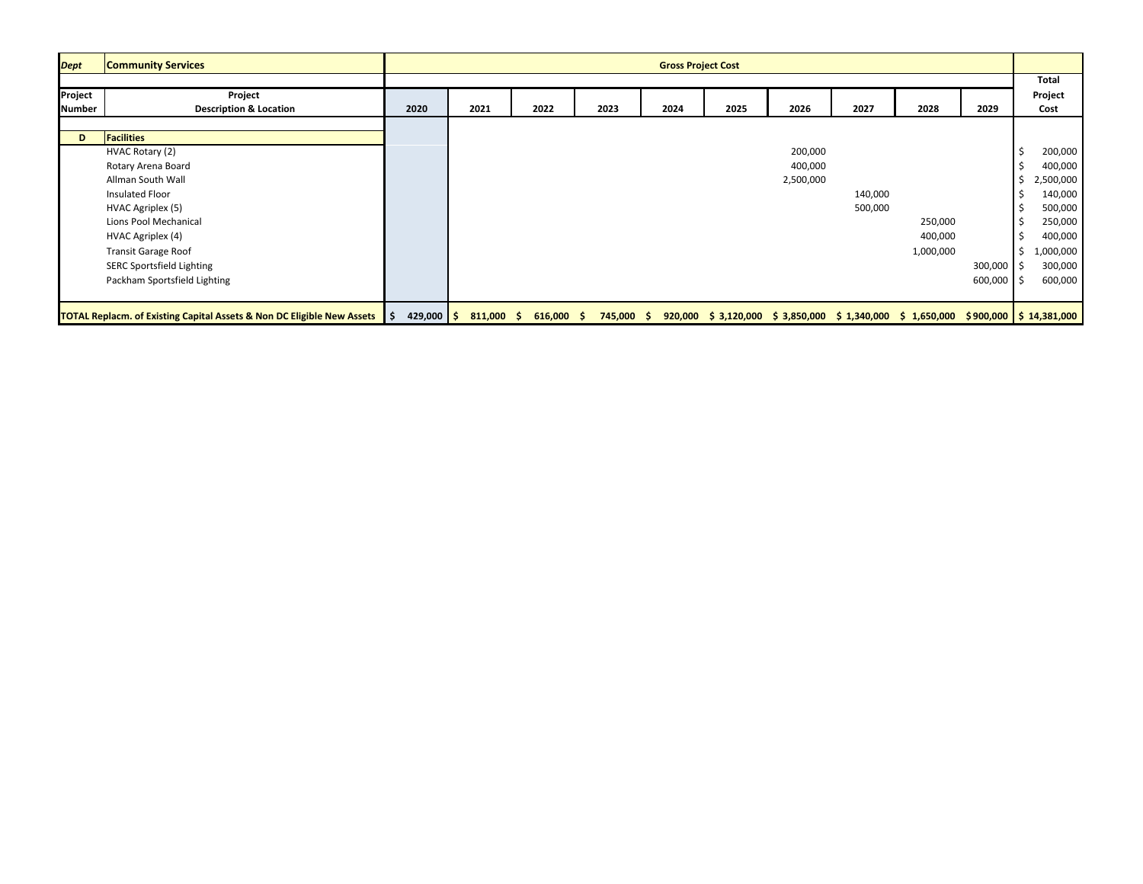| <b>Dept</b>   | <b>Community Services</b>                                                           |                         |         |                    |            | <b>Gross Project Cost</b> |      |           |         |                                                                                |         |    |              |
|---------------|-------------------------------------------------------------------------------------|-------------------------|---------|--------------------|------------|---------------------------|------|-----------|---------|--------------------------------------------------------------------------------|---------|----|--------------|
|               |                                                                                     |                         |         |                    |            |                           |      |           |         |                                                                                |         |    | <b>Total</b> |
| Project       | Project                                                                             |                         |         |                    |            |                           |      |           |         |                                                                                |         |    | Project      |
| <b>Number</b> | <b>Description &amp; Location</b>                                                   | 2020                    | 2021    | 2022               | 2023       | 2024                      | 2025 | 2026      | 2027    | 2028                                                                           | 2029    |    | Cost         |
|               |                                                                                     |                         |         |                    |            |                           |      |           |         |                                                                                |         |    |              |
| D             | <b>Facilities</b>                                                                   |                         |         |                    |            |                           |      |           |         |                                                                                |         |    |              |
|               | HVAC Rotary (2)                                                                     |                         |         |                    |            |                           |      | 200,000   |         |                                                                                |         |    | 200,000      |
|               | Rotary Arena Board                                                                  |                         |         |                    |            |                           |      | 400,000   |         |                                                                                |         |    | 400,000      |
|               | Allman South Wall                                                                   |                         |         |                    |            |                           |      | 2,500,000 |         |                                                                                |         |    | 2,500,000    |
|               | Insulated Floor                                                                     |                         |         |                    |            |                           |      |           | 140,000 |                                                                                |         |    | 140,000      |
|               | HVAC Agriplex (5)                                                                   |                         |         |                    |            |                           |      |           | 500,000 |                                                                                |         |    | 500,000      |
|               | Lions Pool Mechanical                                                               |                         |         |                    |            |                           |      |           |         | 250,000                                                                        |         |    | 250,000      |
|               | HVAC Agriplex (4)                                                                   |                         |         |                    |            |                           |      |           |         | 400,000                                                                        |         |    | 400,000      |
|               | <b>Transit Garage Roof</b>                                                          |                         |         |                    |            |                           |      |           |         | 1,000,000                                                                      |         |    | ,000,000     |
|               | SERC Sportsfield Lighting                                                           |                         |         |                    |            |                           |      |           |         |                                                                                | 300,000 | ΙS | 300,000      |
|               | Packham Sportsfield Lighting                                                        |                         |         |                    |            |                           |      |           |         |                                                                                | 600,000 |    | 600,000      |
|               |                                                                                     |                         |         |                    |            |                           |      |           |         |                                                                                |         |    |              |
|               | <b>TOTAL Replacm. of Existing Capital Assets &amp; Non DC Eligible New Assets</b> 5 | $429,000$ $\frac{1}{5}$ | 811,000 | $616,000$ \$<br>-S | 745,000 \$ |                           |      |           |         | 920,000 \$3,120,000 \$3,850,000 \$1,340,000 \$1,650,000 \$900,000 \$14,381,000 |         |    |              |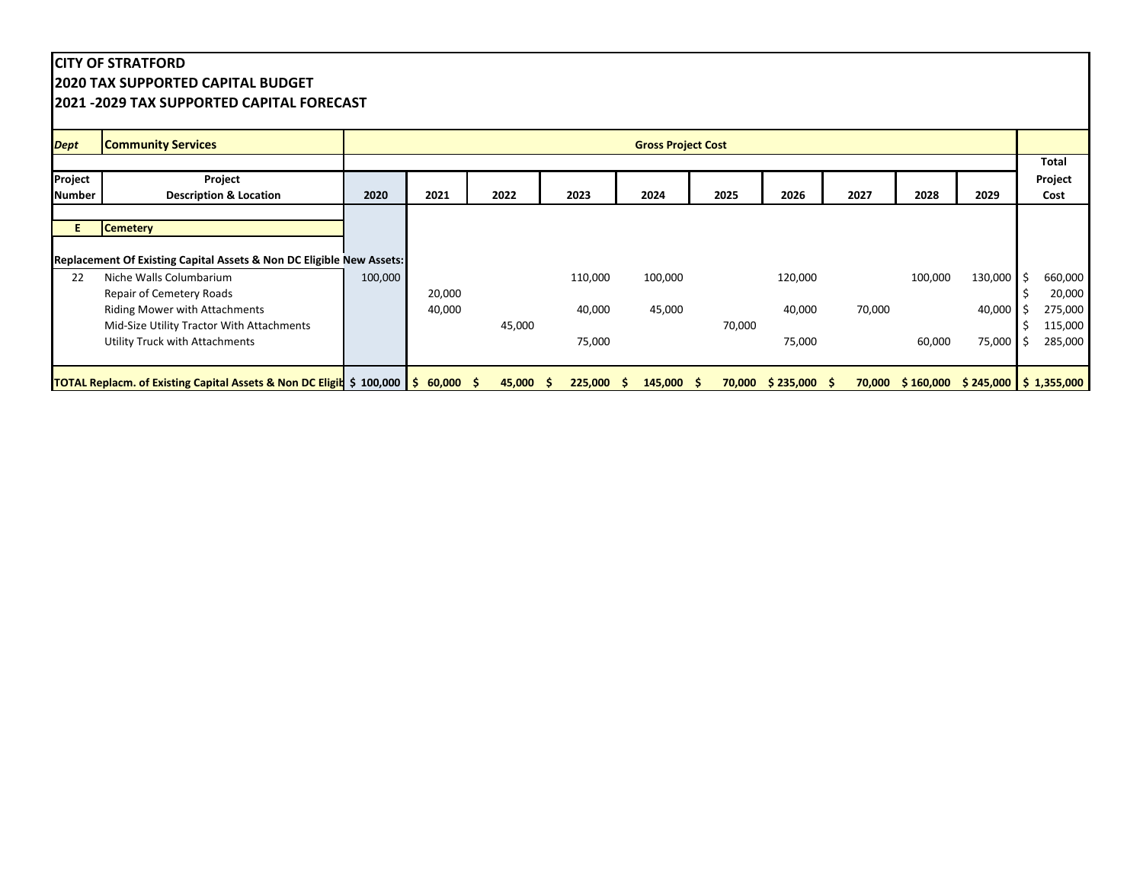## **CITY OF STRATFORD 2020 TAX SUPPORTED CAPITAL BUDGET 2021 -2029 TAX SUPPORTED CAPITAL FORECAST**

| <b>Dept</b>   | <b>Community Services</b>                                                                      |         |        |             |              | <b>Gross Project Cost</b> |        |                        |        |                                        |         |    |         |
|---------------|------------------------------------------------------------------------------------------------|---------|--------|-------------|--------------|---------------------------|--------|------------------------|--------|----------------------------------------|---------|----|---------|
|               |                                                                                                |         |        |             |              |                           |        |                        |        |                                        |         |    | Total   |
| Project       | Project                                                                                        |         |        |             |              |                           |        |                        |        |                                        |         |    | Project |
| <b>Number</b> | <b>Description &amp; Location</b>                                                              | 2020    | 2021   | 2022        | 2023         | 2024                      | 2025   | 2026                   | 2027   | 2028                                   | 2029    |    | Cost    |
|               |                                                                                                |         |        |             |              |                           |        |                        |        |                                        |         |    |         |
|               | <b>Cemetery</b>                                                                                |         |        |             |              |                           |        |                        |        |                                        |         |    |         |
|               |                                                                                                |         |        |             |              |                           |        |                        |        |                                        |         |    |         |
|               | <b>Replacement Of Existing Capital Assets &amp; Non DC Eligible New Assets:</b>                |         |        |             |              |                           |        |                        |        |                                        |         |    |         |
| 22            | Niche Walls Columbarium                                                                        | 100,000 |        |             | 110,000      | 100,000                   |        | 120,000                |        | 100,000                                | 130,000 | Ŝ. | 660,000 |
|               | Repair of Cemetery Roads                                                                       |         | 20,000 |             |              |                           |        |                        |        |                                        |         |    | 20,000  |
|               | <b>Riding Mower with Attachments</b>                                                           |         | 40,000 |             | 40,000       | 45,000                    |        | 40,000                 | 70,000 |                                        | 40,000  |    | 275,000 |
|               | Mid-Size Utility Tractor With Attachments                                                      |         |        | 45,000      |              |                           | 70,000 |                        |        |                                        |         |    | 115,000 |
|               | <b>Utility Truck with Attachments</b>                                                          |         |        |             | 75,000       |                           |        | 75,000                 |        | 60,000                                 | 75,000  | -S | 285,000 |
|               |                                                                                                |         |        |             |              |                           |        |                        |        |                                        |         |    |         |
|               | <b>TOTAL Replacm. of Existing Capital Assets &amp; Non DC Eligit \$ 100,000   \$ 60,000 \$</b> |         |        | $45,000$ \$ | $225,000$ \$ | $145,000$ \$              |        | $70,000$ \$ 235,000 \$ |        | 70,000 \$160,000 \$245,000 \$1,355,000 |         |    |         |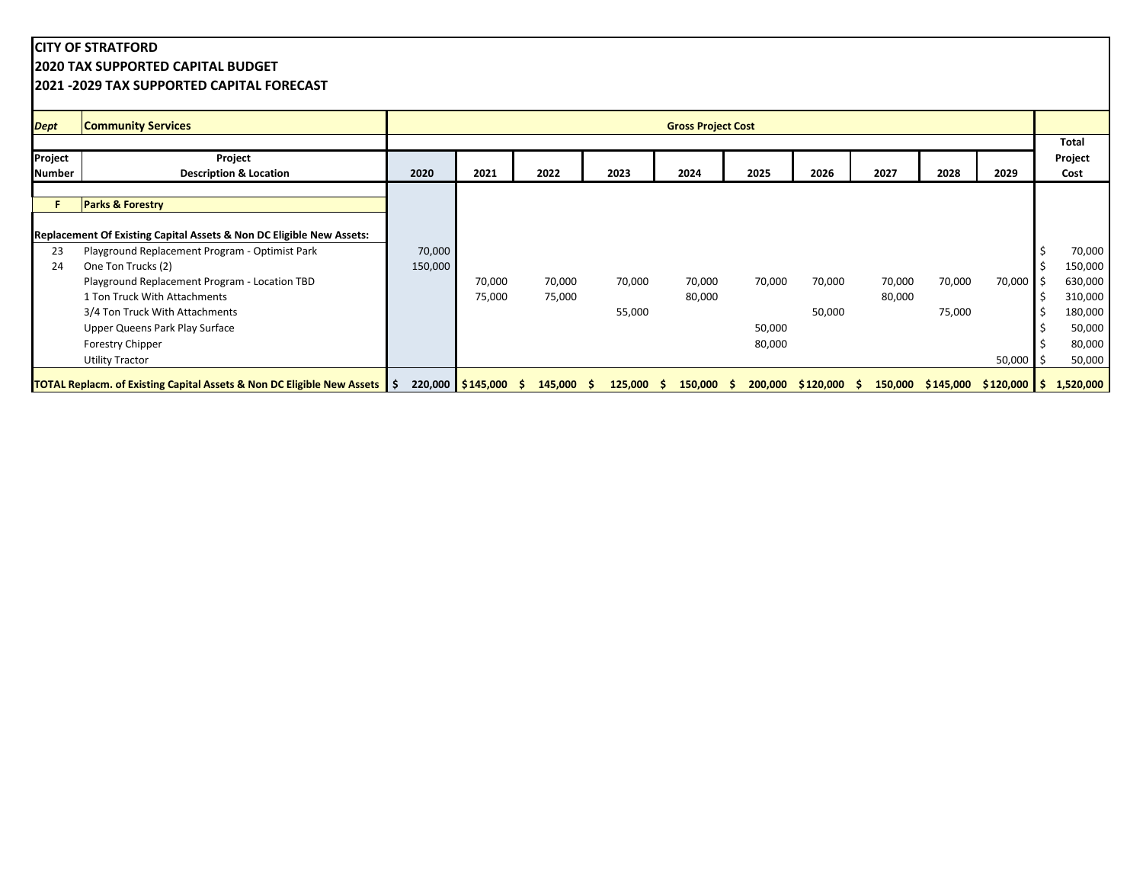## **CITY OF STRATFORD 2020 TAX SUPPORTED CAPITAL BUDGET 2021 -2029 TAX SUPPORTED CAPITAL FORECAST**

| <b>Dept</b> | <b>Community Services</b>                                                              |         |                   |                    |              | <b>Gross Project Cost</b> |        |                        |        |        |                                  |           |
|-------------|----------------------------------------------------------------------------------------|---------|-------------------|--------------------|--------------|---------------------------|--------|------------------------|--------|--------|----------------------------------|-----------|
|             |                                                                                        |         |                   |                    |              |                           |        |                        |        |        |                                  | Total     |
| Project     | Project                                                                                |         |                   |                    |              |                           |        |                        |        |        |                                  | Project   |
| Number      | <b>Description &amp; Location</b>                                                      | 2020    | 2021              | 2022               | 2023         | 2024                      | 2025   | 2026                   | 2027   | 2028   | 2029                             | Cost      |
|             |                                                                                        |         |                   |                    |              |                           |        |                        |        |        |                                  |           |
|             | <b>Parks &amp; Forestry</b>                                                            |         |                   |                    |              |                           |        |                        |        |        |                                  |           |
|             |                                                                                        |         |                   |                    |              |                           |        |                        |        |        |                                  |           |
|             | <b>Replacement Of Existing Capital Assets &amp; Non DC Eligible New Assets:</b>        |         |                   |                    |              |                           |        |                        |        |        |                                  |           |
| 23          | Playground Replacement Program - Optimist Park                                         | 70,000  |                   |                    |              |                           |        |                        |        |        |                                  | 70,000    |
| 24          | One Ton Trucks (2)                                                                     | 150,000 |                   |                    |              |                           |        |                        |        |        |                                  | 150,000   |
|             | Playground Replacement Program - Location TBD                                          |         | 70,000            | 70,000             | 70,000       | 70,000                    | 70,000 | 70,000                 | 70,000 | 70,000 | 70,000                           | 630,000   |
|             | 1 Ton Truck With Attachments                                                           |         | 75,000            | 75,000             |              | 80,000                    |        |                        | 80,000 |        |                                  | 310,000   |
|             | 3/4 Ton Truck With Attachments                                                         |         |                   |                    | 55,000       |                           |        | 50,000                 |        | 75,000 |                                  | 180,000   |
|             | Upper Queens Park Play Surface                                                         |         |                   |                    |              |                           | 50,000 |                        |        |        |                                  | 50,000    |
|             | <b>Forestry Chipper</b>                                                                |         |                   |                    |              |                           | 80,000 |                        |        |        |                                  | 80,000    |
|             | <b>Utility Tractor</b>                                                                 |         |                   |                    |              |                           |        |                        |        |        | 50,000                           | 50,000    |
|             | <b>TOTAL Replacm. of Existing Capital Assets &amp; Non DC Eligible New Assets   \$</b> |         | 220,000 \$145,000 | $145,000$ \$<br>-S | $125,000$ \$ | $150,000$ \$              |        | $200,000$ \$120,000 \$ |        |        | $150,000$ \$145,000 \$120,000 \$ | 1,520,000 |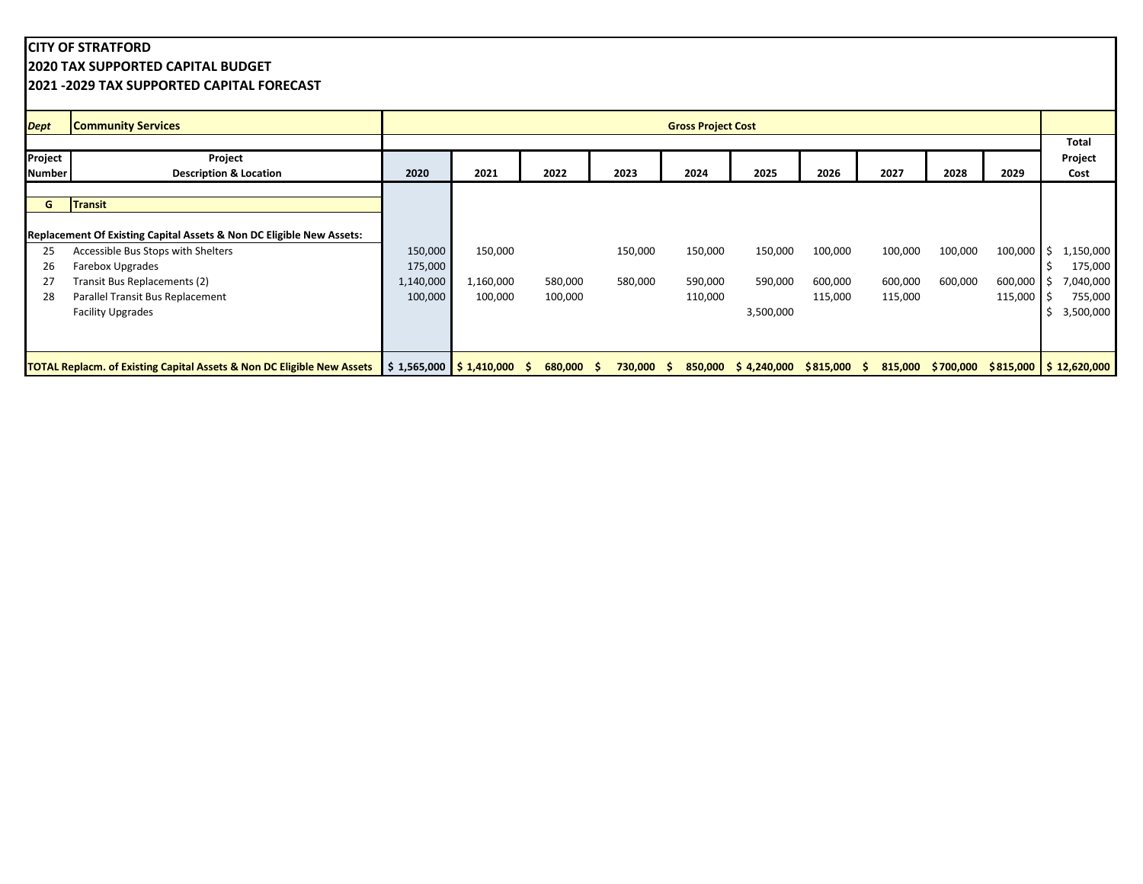## **CITY OF STRATFORD 2020 TAX SUPPORTED CAPITAL BUDGET 2021 -2029 TAX SUPPORTED CAPITAL FORECAST**

| <b>Dept</b>   | <b>Community Services</b>                                                                                          |           |           |              |              | <b>Gross Project Cost</b> |                                  |         |         |         |                                          |    |           |
|---------------|--------------------------------------------------------------------------------------------------------------------|-----------|-----------|--------------|--------------|---------------------------|----------------------------------|---------|---------|---------|------------------------------------------|----|-----------|
|               |                                                                                                                    |           |           |              |              |                           |                                  |         |         |         |                                          |    | Total     |
| Project       | Project                                                                                                            |           |           |              |              |                           |                                  |         |         |         |                                          |    | Project   |
| <b>Number</b> | <b>Description &amp; Location</b>                                                                                  | 2020      | 2021      | 2022         | 2023         | 2024                      | 2025                             | 2026    | 2027    | 2028    | 2029                                     |    | Cost      |
|               |                                                                                                                    |           |           |              |              |                           |                                  |         |         |         |                                          |    |           |
| G             | <b>Transit</b>                                                                                                     |           |           |              |              |                           |                                  |         |         |         |                                          |    |           |
|               |                                                                                                                    |           |           |              |              |                           |                                  |         |         |         |                                          |    |           |
|               | Replacement Of Existing Capital Assets & Non DC Eligible New Assets:                                               |           |           |              |              |                           |                                  |         |         |         |                                          |    |           |
| 25            | Accessible Bus Stops with Shelters                                                                                 | 150,000   | 150,000   |              | 150,000      | 150,000                   | 150,000                          | 100,000 | 100,000 | 100,000 | 100,000                                  | ΙS | 1,150,000 |
| 26            | Farebox Upgrades                                                                                                   | 175,000   |           |              |              |                           |                                  |         |         |         |                                          |    | 175,000   |
| 27            | Transit Bus Replacements (2)                                                                                       | 1,140,000 | 1,160,000 | 580,000      | 580,000      | 590,000                   | 590,000                          | 600,000 | 600,000 | 600,000 | 600,000                                  |    | 7,040,000 |
| 28            | Parallel Transit Bus Replacement                                                                                   | 100,000   | 100,000   | 100,000      |              | 110,000                   |                                  | 115,000 | 115,000 |         | 115,000                                  |    | 755,000   |
|               | <b>Facility Upgrades</b>                                                                                           |           |           |              |              |                           | 3,500,000                        |         |         |         |                                          |    | 3,500,000 |
|               |                                                                                                                    |           |           |              |              |                           |                                  |         |         |         |                                          |    |           |
|               |                                                                                                                    |           |           |              |              |                           |                                  |         |         |         |                                          |    |           |
|               | <b>TOTAL Replacm. of Existing Capital Assets &amp; Non DC Eligible New Assets   \$ 1,565,000   \$ 1,410,000 \$</b> |           |           | $680,000$ \$ | $730,000$ \$ |                           | 850,000 \$4,240,000 \$815,000 \$ |         |         |         | 815,000 \$700,000 \$815,000 \$12,620,000 |    |           |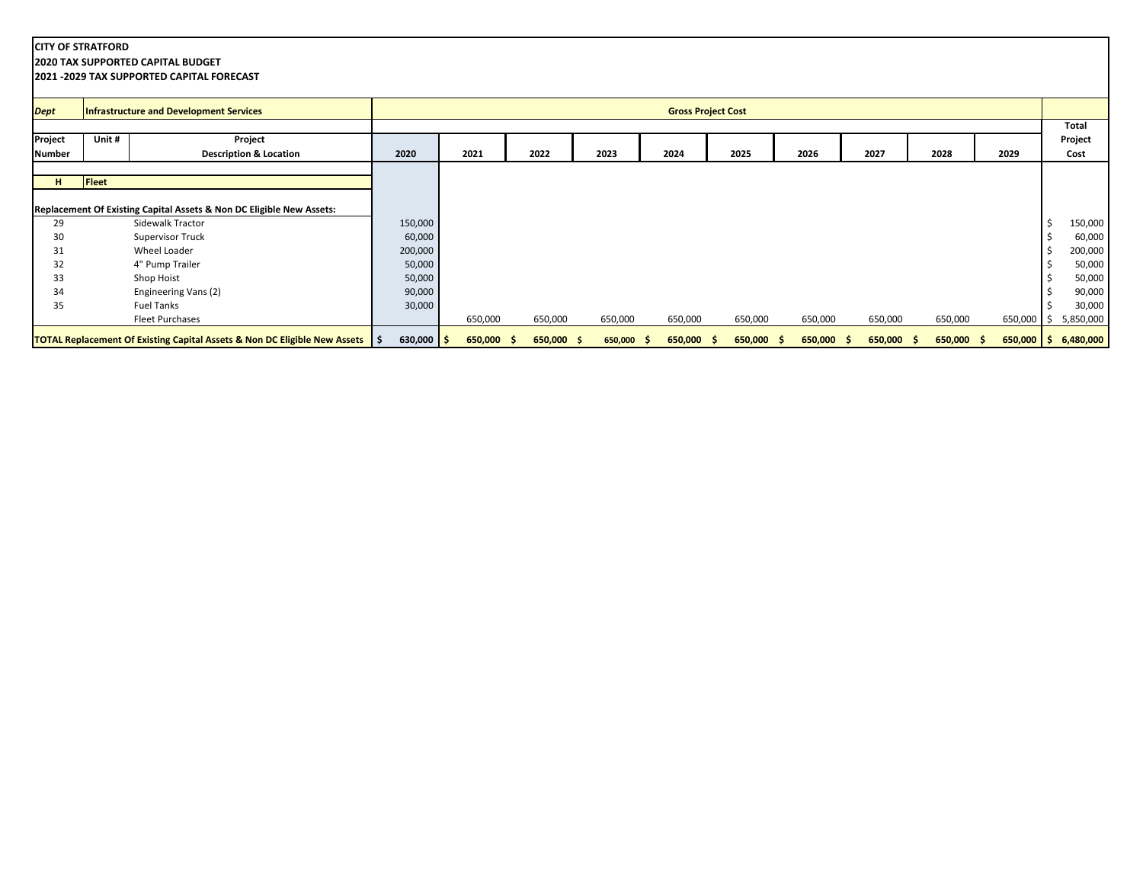**2020 TAX SUPPORTED CAPITAL BUDGET**

| <b>Dept</b>   |              | Infrastructure and Development Services                                              |              |      |              |            |               | <b>Gross Project Cost</b> |            |            |         |      |            |              |       |           |
|---------------|--------------|--------------------------------------------------------------------------------------|--------------|------|--------------|------------|---------------|---------------------------|------------|------------|---------|------|------------|--------------|-------|-----------|
|               |              |                                                                                      |              |      |              |            |               |                           |            |            |         |      |            |              |       | Total     |
| Project       | Unit #       | Project                                                                              |              |      |              |            |               |                           |            |            |         |      |            |              |       | Project   |
| <b>Number</b> |              | <b>Description &amp; Location</b>                                                    | 2020         | 2021 |              | 2022       | 2023          | 2024                      | 2025       | 2026       | 2027    | 2028 |            | 2029         |       | Cost      |
|               |              |                                                                                      |              |      |              |            |               |                           |            |            |         |      |            |              |       |           |
| H             | <b>Fleet</b> |                                                                                      |              |      |              |            |               |                           |            |            |         |      |            |              |       |           |
|               |              |                                                                                      |              |      |              |            |               |                           |            |            |         |      |            |              |       |           |
|               |              | Replacement Of Existing Capital Assets & Non DC Eligible New Assets:                 |              |      |              |            |               |                           |            |            |         |      |            |              |       |           |
| 29            |              | Sidewalk Tractor                                                                     | 150,000      |      |              |            |               |                           |            |            |         |      |            |              |       | 150,000   |
| 30            |              | <b>Supervisor Truck</b>                                                              | 60,000       |      |              |            |               |                           |            |            |         |      |            |              |       | 60,000    |
| 31            |              | Wheel Loader                                                                         | 200,000      |      |              |            |               |                           |            |            |         |      |            |              |       | 200,000   |
| 32            |              | 4" Pump Trailer                                                                      | 50,000       |      |              |            |               |                           |            |            |         |      |            |              |       | 50,000    |
| 33            |              | Shop Hoist                                                                           | 50,000       |      |              |            |               |                           |            |            |         |      |            |              |       | 50,000    |
| 34            |              | Engineering Vans (2)                                                                 | 90,000       |      |              |            |               |                           |            |            |         |      |            |              |       | 90,000    |
| 35            |              | <b>Fuel Tanks</b>                                                                    | 30,000       |      |              |            |               |                           |            |            |         |      |            |              |       | 30,000    |
|               |              | <b>Fleet Purchases</b>                                                               |              |      | 650,000      | 650,000    | 650,000       | 650,000                   | 650,000    | 650,000    | 650,000 |      | 650,000    | 650,000      | ) I S | 5,850,000 |
|               |              | <b>TOTAL Replacement Of Existing Capital Assets &amp; Non DC Eligible New Assets</b> | $630,000$ \$ |      | $650,000$ \$ | 650,000 \$ | 650,000<br>-5 | 650,000<br>-5             | 650,000 \$ | 650,000 \$ | 650,000 | -S   | 650,000 \$ | $650,000$ \$ |       | 6,480,000 |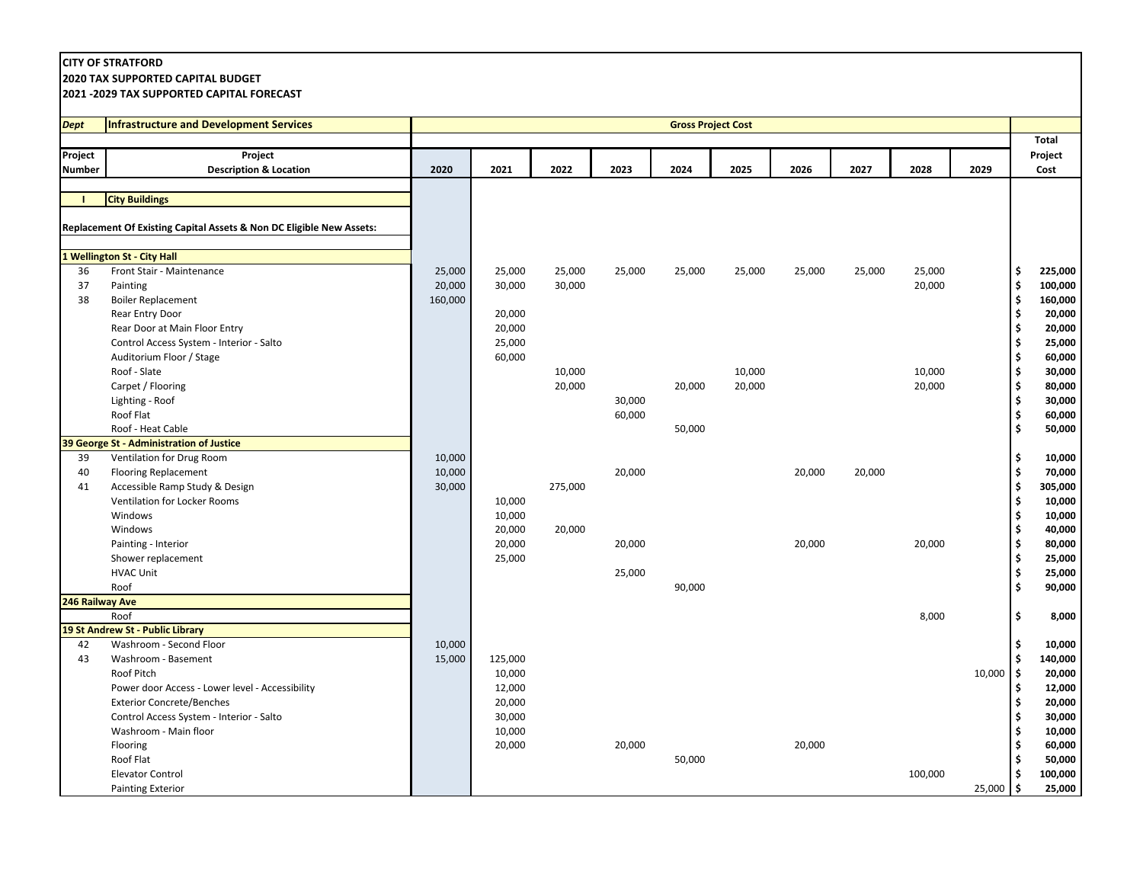**2020 TAX SUPPORTED CAPITAL BUDGET**

| Dept            | <b>Infrastructure and Development Services</b>                       |         |         |         |        | <b>Gross Project Cost</b> |        |        |        |         |        |                                                 |                   |
|-----------------|----------------------------------------------------------------------|---------|---------|---------|--------|---------------------------|--------|--------|--------|---------|--------|-------------------------------------------------|-------------------|
|                 |                                                                      |         |         |         |        |                           |        |        |        |         |        |                                                 | <b>Total</b>      |
| Project         | Proiect                                                              |         |         |         |        |                           |        |        |        |         |        |                                                 | Project           |
| <b>Number</b>   | <b>Description &amp; Location</b>                                    | 2020    | 2021    | 2022    | 2023   | 2024                      | 2025   | 2026   | 2027   | 2028    | 2029   |                                                 | Cost              |
|                 |                                                                      |         |         |         |        |                           |        |        |        |         |        |                                                 |                   |
|                 | <b>City Buildings</b>                                                |         |         |         |        |                           |        |        |        |         |        |                                                 |                   |
|                 |                                                                      |         |         |         |        |                           |        |        |        |         |        |                                                 |                   |
|                 | Replacement Of Existing Capital Assets & Non DC Eligible New Assets: |         |         |         |        |                           |        |        |        |         |        |                                                 |                   |
|                 |                                                                      |         |         |         |        |                           |        |        |        |         |        |                                                 |                   |
|                 | 1 Wellington St - City Hall                                          |         |         |         |        |                           |        |        |        |         |        |                                                 |                   |
| 36              | Front Stair - Maintenance                                            | 25,000  | 25,000  | 25,000  | 25,000 | 25,000                    | 25,000 | 25,000 | 25,000 | 25,000  |        | \$                                              | 225,000           |
| 37              | Painting                                                             | 20,000  | 30,000  | 30,000  |        |                           |        |        |        | 20,000  |        | $\boldsymbol{\mathsf{s}}$                       | 100,000           |
| 38              | <b>Boiler Replacement</b><br>Rear Entry Door                         | 160,000 | 20,000  |         |        |                           |        |        |        |         |        | $\pmb{\mathsf{s}}$<br>$\boldsymbol{\mathsf{s}}$ | 160,000<br>20,000 |
|                 | Rear Door at Main Floor Entry                                        |         | 20,000  |         |        |                           |        |        |        |         |        | \$                                              | 20,000            |
|                 | Control Access System - Interior - Salto                             |         | 25,000  |         |        |                           |        |        |        |         |        | \$                                              | 25,000            |
|                 | Auditorium Floor / Stage                                             |         | 60,000  |         |        |                           |        |        |        |         |        | \$                                              | 60,000            |
|                 | Roof - Slate                                                         |         |         | 10,000  |        |                           | 10,000 |        |        | 10,000  |        | $\pmb{\mathsf{s}}$                              | 30,000            |
|                 | Carpet / Flooring                                                    |         |         | 20,000  |        | 20,000                    | 20,000 |        |        | 20,000  |        | \$                                              | 80,000            |
|                 | Lighting - Roof                                                      |         |         |         | 30,000 |                           |        |        |        |         |        | \$                                              | 30,000            |
|                 | Roof Flat                                                            |         |         |         | 60,000 |                           |        |        |        |         |        | \$                                              | 60,000            |
|                 | Roof - Heat Cable                                                    |         |         |         |        | 50,000                    |        |        |        |         |        | \$                                              | 50,000            |
|                 | 39 George St - Administration of Justice                             |         |         |         |        |                           |        |        |        |         |        |                                                 |                   |
| 39              | Ventilation for Drug Room                                            | 10,000  |         |         |        |                           |        |        |        |         |        | \$                                              | 10,000            |
| 40              | <b>Flooring Replacement</b>                                          | 10,000  |         |         | 20,000 |                           |        | 20,000 | 20,000 |         |        | \$                                              | 70,000            |
| 41              | Accessible Ramp Study & Design                                       | 30,000  |         | 275,000 |        |                           |        |        |        |         |        | \$                                              | 305,000           |
|                 | Ventilation for Locker Rooms                                         |         | 10,000  |         |        |                           |        |        |        |         |        | $\pmb{\mathsf{s}}$                              | 10,000            |
|                 | Windows                                                              |         | 10,000  |         |        |                           |        |        |        |         |        | $\pmb{\mathsf{s}}$                              | 10,000            |
|                 | Windows                                                              |         | 20,000  | 20,000  |        |                           |        |        |        |         |        | $\pmb{\mathsf{s}}$                              | 40,000            |
|                 | Painting - Interior                                                  |         | 20,000  |         | 20,000 |                           |        | 20,000 |        | 20,000  |        | \$                                              | 80,000            |
|                 | Shower replacement                                                   |         | 25,000  |         |        |                           |        |        |        |         |        | \$                                              | 25,000            |
|                 | <b>HVAC Unit</b>                                                     |         |         |         | 25,000 |                           |        |        |        |         |        | \$                                              | 25,000            |
|                 | Roof                                                                 |         |         |         |        | 90,000                    |        |        |        |         |        | \$                                              | 90,000            |
| 246 Railway Ave |                                                                      |         |         |         |        |                           |        |        |        |         |        |                                                 |                   |
|                 | Roof<br>19 St Andrew St - Public Library                             |         |         |         |        |                           |        |        |        | 8,000   |        | \$                                              | 8,000             |
| 42              | Washroom - Second Floor                                              | 10,000  |         |         |        |                           |        |        |        |         |        | \$                                              | 10,000            |
| 43              | Washroom - Basement                                                  | 15,000  | 125,000 |         |        |                           |        |        |        |         |        | $\mathsf{\$}$                                   | 140,000           |
|                 | Roof Pitch                                                           |         | 10,000  |         |        |                           |        |        |        |         | 10,000 | $\mathsf{\hat{S}}$                              | 20,000            |
|                 | Power door Access - Lower level - Accessibility                      |         | 12,000  |         |        |                           |        |        |        |         |        |                                                 | 12,000            |
|                 | <b>Exterior Concrete/Benches</b>                                     |         | 20,000  |         |        |                           |        |        |        |         |        | \$                                              | 20,000            |
|                 | Control Access System - Interior - Salto                             |         | 30,000  |         |        |                           |        |        |        |         |        | \$                                              | 30,000            |
|                 | Washroom - Main floor                                                |         | 10,000  |         |        |                           |        |        |        |         |        | \$                                              | 10,000            |
|                 | Flooring                                                             |         | 20,000  |         | 20,000 |                           |        | 20,000 |        |         |        |                                                 | 60,000            |
|                 | Roof Flat                                                            |         |         |         |        | 50,000                    |        |        |        |         |        |                                                 | 50,000            |
|                 | <b>Elevator Control</b>                                              |         |         |         |        |                           |        |        |        | 100,000 |        |                                                 | 100,000           |
|                 | <b>Painting Exterior</b>                                             |         |         |         |        |                           |        |        |        |         | 25,000 | l\$                                             | 25,000            |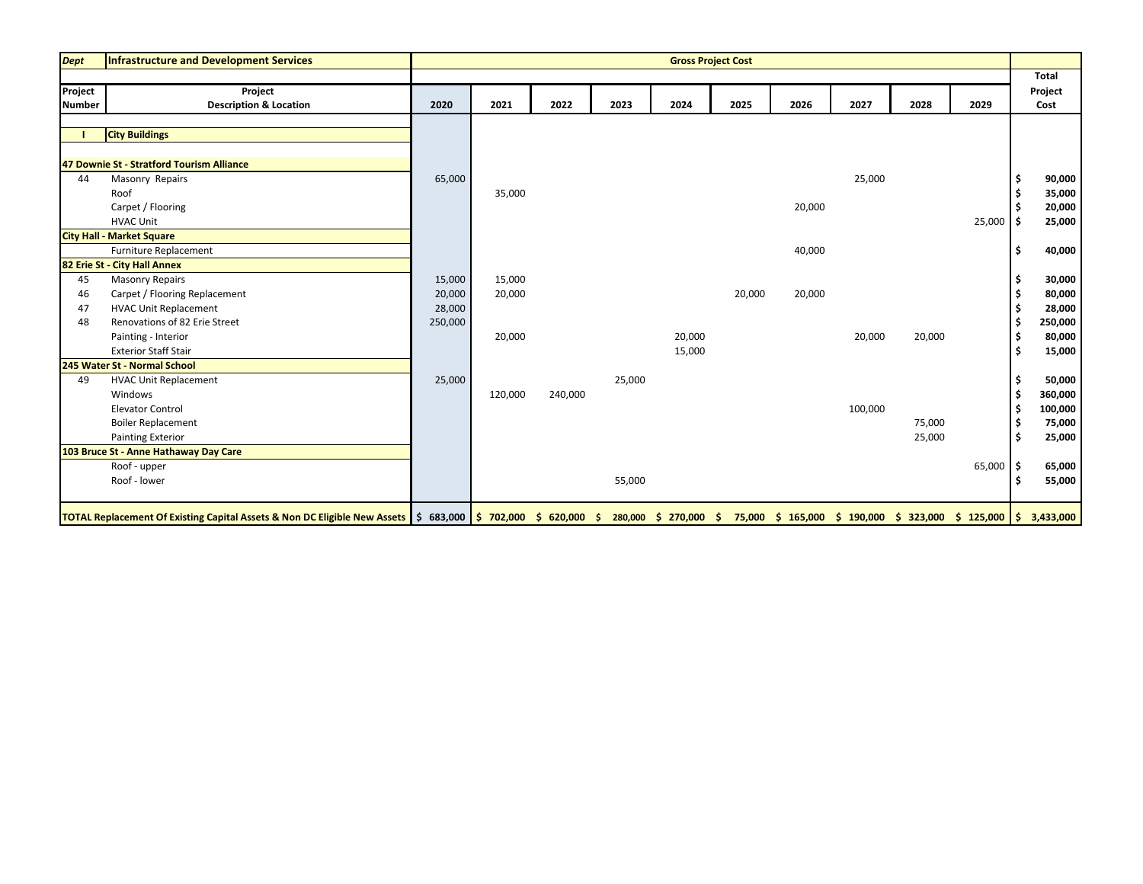| <b>Dept</b>              | Infrastructure and Development Services                                                                                                                                                            |         |         |         |        | <b>Gross Project Cost</b> |        |        |         |        |             |     |                 |
|--------------------------|----------------------------------------------------------------------------------------------------------------------------------------------------------------------------------------------------|---------|---------|---------|--------|---------------------------|--------|--------|---------|--------|-------------|-----|-----------------|
|                          |                                                                                                                                                                                                    |         |         |         |        |                           |        |        |         |        |             |     | <b>Total</b>    |
| Project<br><b>Number</b> | Project<br><b>Description &amp; Location</b>                                                                                                                                                       | 2020    | 2021    | 2022    | 2023   | 2024                      | 2025   | 2026   | 2027    | 2028   | 2029        |     | Project<br>Cost |
|                          |                                                                                                                                                                                                    |         |         |         |        |                           |        |        |         |        |             |     |                 |
|                          | <b>City Buildings</b>                                                                                                                                                                              |         |         |         |        |                           |        |        |         |        |             |     |                 |
|                          |                                                                                                                                                                                                    |         |         |         |        |                           |        |        |         |        |             |     |                 |
|                          | 47 Downie St - Stratford Tourism Alliance                                                                                                                                                          |         |         |         |        |                           |        |        |         |        |             |     |                 |
| 44                       | Masonry Repairs                                                                                                                                                                                    | 65,000  |         |         |        |                           |        |        | 25,000  |        |             |     | 90,000          |
|                          | Roof                                                                                                                                                                                               |         | 35,000  |         |        |                           |        |        |         |        |             |     | 35,000          |
|                          | Carpet / Flooring                                                                                                                                                                                  |         |         |         |        |                           |        | 20,000 |         |        |             |     | 20,000          |
|                          | <b>HVAC Unit</b>                                                                                                                                                                                   |         |         |         |        |                           |        |        |         |        | $25,000$ \$ |     | 25,000          |
|                          | <b>City Hall - Market Square</b>                                                                                                                                                                   |         |         |         |        |                           |        |        |         |        |             |     |                 |
|                          | Furniture Replacement                                                                                                                                                                              |         |         |         |        |                           |        | 40,000 |         |        |             | -\$ | 40,000          |
|                          | 82 Erie St - City Hall Annex                                                                                                                                                                       |         |         |         |        |                           |        |        |         |        |             |     |                 |
| 45                       | <b>Masonry Repairs</b>                                                                                                                                                                             | 15,000  | 15,000  |         |        |                           |        |        |         |        |             |     | 30,000          |
| 46                       | Carpet / Flooring Replacement                                                                                                                                                                      | 20,000  | 20,000  |         |        |                           | 20,000 | 20,000 |         |        |             |     | 80,000          |
| 47                       | <b>HVAC Unit Replacement</b>                                                                                                                                                                       | 28,000  |         |         |        |                           |        |        |         |        |             |     | 28,000          |
| 48                       | Renovations of 82 Erie Street                                                                                                                                                                      | 250,000 |         |         |        |                           |        |        |         |        |             | -\$ | 250,000         |
|                          | Painting - Interior                                                                                                                                                                                |         | 20,000  |         |        | 20,000                    |        |        | 20,000  | 20,000 |             | \$  | 80,000          |
|                          | <b>Exterior Staff Stair</b>                                                                                                                                                                        |         |         |         |        | 15,000                    |        |        |         |        |             | \$  | 15,000          |
|                          | 245 Water St - Normal School                                                                                                                                                                       |         |         |         |        |                           |        |        |         |        |             |     |                 |
| 49                       | <b>HVAC Unit Replacement</b>                                                                                                                                                                       | 25,000  |         |         | 25,000 |                           |        |        |         |        |             |     | 50,000          |
|                          | Windows                                                                                                                                                                                            |         | 120,000 | 240,000 |        |                           |        |        |         |        |             | -\$ | 360,000         |
|                          | <b>Elevator Control</b>                                                                                                                                                                            |         |         |         |        |                           |        |        | 100,000 |        |             |     | 100,000         |
|                          | <b>Boiler Replacement</b>                                                                                                                                                                          |         |         |         |        |                           |        |        |         | 75,000 |             | \$  | 75,000          |
|                          | <b>Painting Exterior</b>                                                                                                                                                                           |         |         |         |        |                           |        |        |         | 25,000 |             | \$  | 25,000          |
|                          | 103 Bruce St - Anne Hathaway Day Care                                                                                                                                                              |         |         |         |        |                           |        |        |         |        |             |     |                 |
|                          | Roof - upper                                                                                                                                                                                       |         |         |         |        |                           |        |        |         |        | $65,000$ \$ |     | 65,000          |
|                          | Roof - lower                                                                                                                                                                                       |         |         |         | 55,000 |                           |        |        |         |        |             |     | 55,000          |
|                          | TOTAL Replacement Of Existing Capital Assets & Non DC Eligible New Assets 5 683,000 \$ 702,000 \$ 620,000 \$ 280,000 \$ 270,000 \$ 75,000 \$ 165,000 \$ 190,000 \$ 323,000 \$ 125,000 \$ 3,433,000 |         |         |         |        |                           |        |        |         |        |             |     |                 |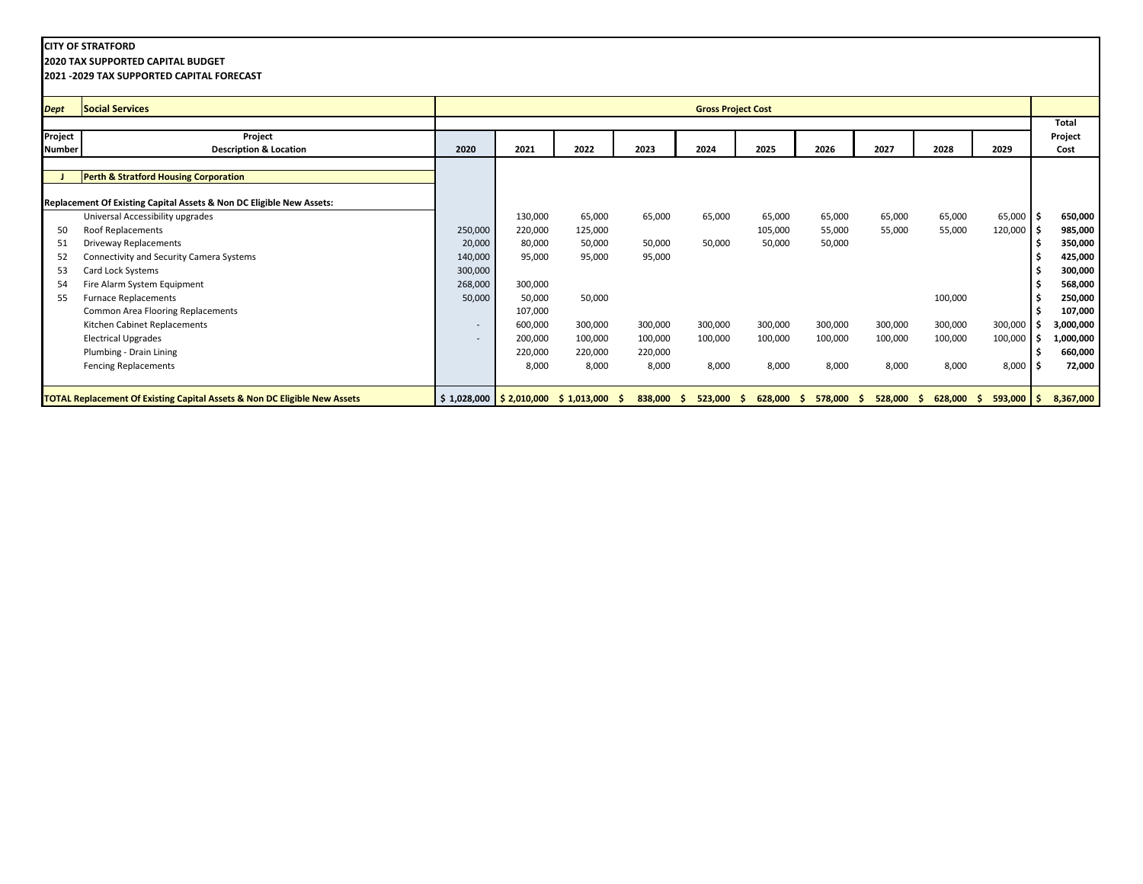**2020 TAX SUPPORTED CAPITAL BUDGET**

| <b>Dept</b>   | <b>Social Services</b>                                                               |         |         |                                                                |              | <b>Gross Project Cost</b> |         |               |               |               |                    |                   |
|---------------|--------------------------------------------------------------------------------------|---------|---------|----------------------------------------------------------------|--------------|---------------------------|---------|---------------|---------------|---------------|--------------------|-------------------|
|               |                                                                                      |         |         |                                                                |              |                           |         |               |               |               |                    | Total             |
| Project       | Project                                                                              |         |         |                                                                |              |                           |         |               |               |               |                    | Project           |
| <b>Number</b> | <b>Description &amp; Location</b>                                                    | 2020    | 2021    | 2022                                                           | 2023         | 2024                      | 2025    | 2026          | 2027          | 2028          | 2029               | Cost              |
|               |                                                                                      |         |         |                                                                |              |                           |         |               |               |               |                    |                   |
|               | Perth & Stratford Housing Corporation                                                |         |         |                                                                |              |                           |         |               |               |               |                    |                   |
|               |                                                                                      |         |         |                                                                |              |                           |         |               |               |               |                    |                   |
|               | Replacement Of Existing Capital Assets & Non DC Eligible New Assets:                 |         |         |                                                                |              |                           |         |               |               |               |                    |                   |
|               | Universal Accessibility upgrades                                                     |         | 130,000 | 65,000                                                         | 65,000       | 65,000                    | 65,000  | 65,000        | 65,000        | 65,000        | $65,000$   \$      | 650,000           |
| 50            | Roof Replacements                                                                    | 250,000 | 220,000 | 125,000                                                        |              |                           | 105,000 | 55,000        | 55,000        | 55,000        | 120,000 \$         | 985,000           |
| 51            | <b>Driveway Replacements</b>                                                         | 20,000  | 80,000  | 50,000                                                         | 50,000       | 50,000                    | 50,000  | 50,000        |               |               |                    | 350,000           |
| 52            | Connectivity and Security Camera Systems                                             | 140,000 | 95,000  | 95,000                                                         | 95,000       |                           |         |               |               |               |                    | 425,000           |
| 53            | Card Lock Systems                                                                    | 300,000 |         |                                                                |              |                           |         |               |               |               |                    | 300,000           |
| 54            | Fire Alarm System Equipment                                                          | 268,000 | 300,000 |                                                                |              |                           |         |               |               |               |                    | 568,000           |
| 55            | <b>Furnace Replacements</b>                                                          | 50,000  | 50,000  | 50,000                                                         |              |                           |         |               |               | 100,000       |                    | 250,000           |
|               | Common Area Flooring Replacements                                                    |         | 107,000 |                                                                |              |                           |         |               |               |               |                    | 107,000           |
|               | Kitchen Cabinet Replacements                                                         | $\sim$  | 600,000 | 300,000                                                        | 300,000      | 300,000                   | 300,000 | 300,000       | 300,000       | 300,000       | 300,000            | 3,000,000         |
|               | <b>Electrical Upgrades</b>                                                           | $\sim$  | 200,000 | 100,000                                                        | 100,000      | 100,000                   | 100,000 | 100,000       | 100,000       | 100,000       | 100,000            | L <b>,000,000</b> |
|               | Plumbing - Drain Lining                                                              |         | 220,000 | 220,000                                                        | 220,000      |                           |         |               |               |               |                    | 660,000           |
|               | <b>Fencing Replacements</b>                                                          |         | 8,000   | 8,000                                                          | 8,000        | 8,000                     | 8,000   | 8,000         | 8,000         | 8,000         | $8,000$ \$         | 72,000            |
|               |                                                                                      |         |         |                                                                |              |                           |         |               |               |               |                    |                   |
|               | <b>TOTAL Replacement Of Existing Capital Assets &amp; Non DC Eligible New Assets</b> |         |         | $\frac{1}{2}$ \$ 1,028,000 <b>\$ 2,010,000</b> \$ 1,013,000 \$ | $838,000$ \$ | $523,000$ \$              | 628,000 | 578,000<br>-S | 528,000<br>S. | 628,000<br>S. | $593,000$ \$<br>S. | 8,367,000         |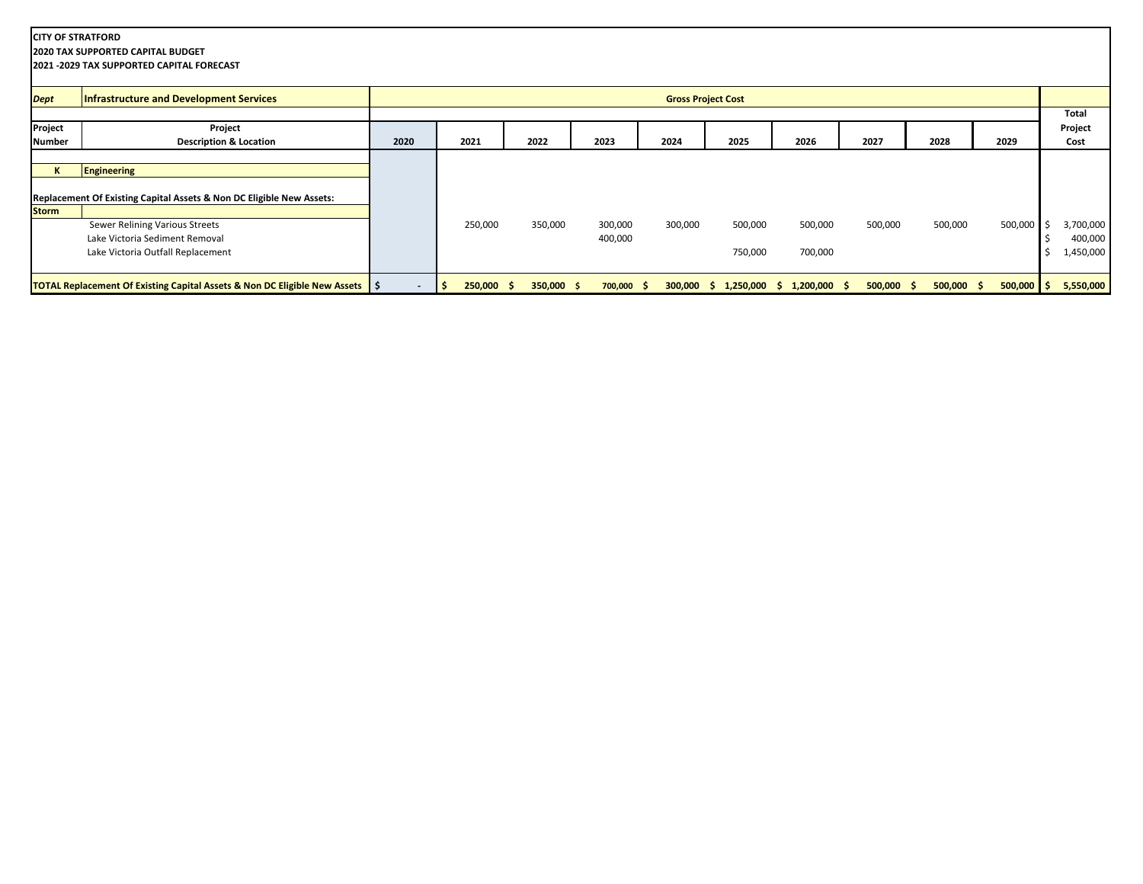| <b>CITY OF STRATFORD</b> | <b>2020 TAX SUPPORTED CAPITAL BUDGET</b><br>2021 - 2029 TAX SUPPORTED CAPITAL FORECAST |      |                    |              |              |         |                           |                                              |              |              |              |           |
|--------------------------|----------------------------------------------------------------------------------------|------|--------------------|--------------|--------------|---------|---------------------------|----------------------------------------------|--------------|--------------|--------------|-----------|
| <b>Dept</b>              | Infrastructure and Development Services                                                |      |                    |              |              |         | <b>Gross Project Cost</b> |                                              |              |              |              |           |
|                          |                                                                                        |      |                    |              |              |         |                           |                                              |              |              |              | Total     |
| Project                  | Project                                                                                |      |                    |              |              |         |                           |                                              |              |              |              | Project   |
| <b>Number</b>            | <b>Description &amp; Location</b>                                                      | 2020 | 2021               | 2022         | 2023         | 2024    | 2025                      | 2026                                         | 2027         | 2028         | 2029         | Cost      |
|                          |                                                                                        |      |                    |              |              |         |                           |                                              |              |              |              |           |
|                          | Engineering                                                                            |      |                    |              |              |         |                           |                                              |              |              |              |           |
|                          | Replacement Of Existing Capital Assets & Non DC Eligible New Assets:                   |      |                    |              |              |         |                           |                                              |              |              |              |           |
| <b>Storm</b>             |                                                                                        |      |                    |              |              |         |                           |                                              |              |              |              |           |
|                          | Sewer Relining Various Streets                                                         |      | 250,000            | 350,000      | 300,000      | 300,000 | 500,000                   | 500,000                                      | 500,000      | 500,000      | 500,000      | 3,700,000 |
|                          | Lake Victoria Sediment Removal                                                         |      |                    |              | 400,000      |         |                           |                                              |              |              |              | 400,000   |
|                          | Lake Victoria Outfall Replacement                                                      |      |                    |              |              |         | 750,000                   | 700,000                                      |              |              |              | 1,450,000 |
|                          | TOTAL Replacement Of Existing Capital Assets & Non DC Eligible New Assets   \$         |      | $250,000$ \$<br>۱s | $350,000$ \$ | $700,000$ \$ |         |                           | $300,000 \div 1,250,000 \div 1,200,000 \div$ | $500,000$ \$ | $500,000$ \$ | $500,000$ \$ | 5,550,000 |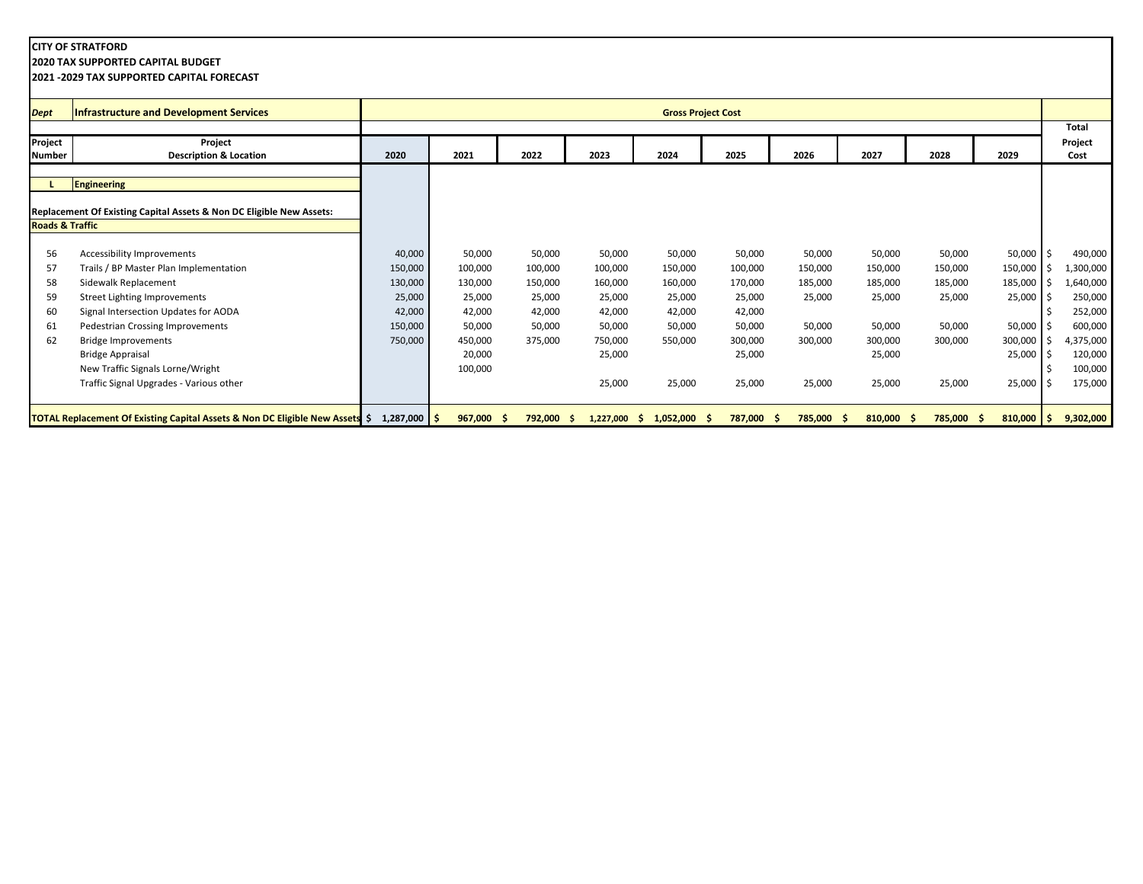**2020 TAX SUPPORTED CAPITAL BUDGET**

| <b>Dept</b>                | <b>Infrastructure and Development Services</b>                               |                |              |         |                 | <b>Gross Project Cost</b> |         |               |                  |            |              |         |           |
|----------------------------|------------------------------------------------------------------------------|----------------|--------------|---------|-----------------|---------------------------|---------|---------------|------------------|------------|--------------|---------|-----------|
|                            |                                                                              |                |              |         |                 |                           |         |               |                  |            |              | Total   |           |
| Project                    | Project                                                                      |                |              |         |                 |                           |         |               |                  |            |              | Project |           |
| <b>Number</b>              | <b>Description &amp; Location</b>                                            | 2020           | 2021         | 2022    | 2023            | 2024                      | 2025    | 2026          | 2027             | 2028       | 2029         | Cost    |           |
|                            |                                                                              |                |              |         |                 |                           |         |               |                  |            |              |         |           |
|                            | Engineering                                                                  |                |              |         |                 |                           |         |               |                  |            |              |         |           |
|                            |                                                                              |                |              |         |                 |                           |         |               |                  |            |              |         |           |
|                            | Replacement Of Existing Capital Assets & Non DC Eligible New Assets:         |                |              |         |                 |                           |         |               |                  |            |              |         |           |
| <b>Roads &amp; Traffic</b> |                                                                              |                |              |         |                 |                           |         |               |                  |            |              |         |           |
|                            |                                                                              |                |              |         |                 |                           |         |               |                  |            |              |         |           |
| 56                         | Accessibility Improvements                                                   | 40,000         | 50,000       | 50,000  | 50,000          | 50,000                    | 50,000  | 50,000        | 50,000           | 50,000     | 50,000       | Ŝ.      | 490,000   |
| 57                         | Trails / BP Master Plan Implementation                                       | 150,000        | 100,000      | 100,000 | 100,000         | 150,000                   | 100,000 | 150,000       | 150,000          | 150,000    | 150,000      |         | L,300,000 |
| 58                         | Sidewalk Replacement                                                         | 130,000        | 130,000      | 150,000 | 160,000         | 160,000                   | 170,000 | 185,000       | 185,000          | 185,000    | 185,000      |         | ,640,000  |
| 59                         | Street Lighting Improvements                                                 | 25,000         | 25,000       | 25,000  | 25,000          | 25,000                    | 25,000  | 25,000        | 25,000           | 25,000     | 25,000       |         | 250,000   |
| 60                         | Signal Intersection Updates for AODA                                         | 42,000         | 42,000       | 42,000  | 42,000          | 42,000                    | 42,000  |               |                  |            |              |         | 252,000   |
| 61                         | Pedestrian Crossing Improvements                                             | 150,000        | 50,000       | 50,000  | 50,000          | 50,000                    | 50,000  | 50,000        | 50,000           | 50,000     | 50,000       |         | 600,000   |
| 62                         | <b>Bridge Improvements</b>                                                   | 750,000        | 450,000      | 375,000 | 750,000         | 550,000                   | 300,000 | 300,000       | 300,000          | 300,000    | 300,000      |         | 4,375,000 |
|                            | <b>Bridge Appraisal</b>                                                      |                | 20,000       |         | 25,000          |                           | 25,000  |               | 25,000           |            | 25,000       | Ŝ.      | 120,000   |
|                            | New Traffic Signals Lorne/Wright                                             |                | 100,000      |         |                 |                           |         |               |                  |            |              |         | 100,000   |
|                            | Traffic Signal Upgrades - Various other                                      |                |              |         | 25,000          | 25,000                    | 25,000  | 25,000        | 25,000           | 25,000     | 25,000       |         | 175,000   |
|                            |                                                                              |                |              |         |                 |                           |         |               |                  |            |              |         |           |
|                            | TOTAL Replacement Of Existing Capital Assets & Non DC Eligible New Assets \$ | $1,287,000$ \$ | $967,000$ \$ | 792,000 | 1,227,000<br>-S | $1,052,000$ \$<br>-S      | 787,000 | 785,000<br>-S | 810,000 \$<br>-S | 785,000 \$ | $810,000$ \$ |         | 9,302,000 |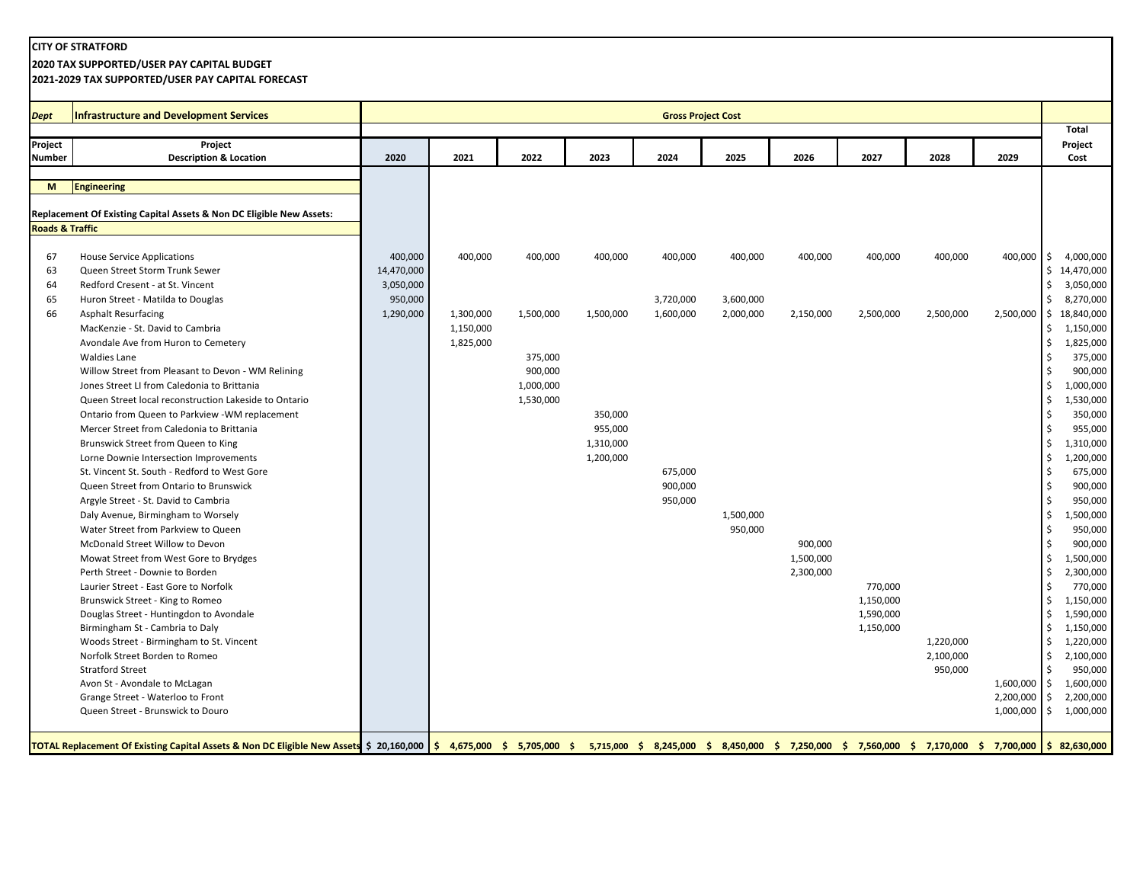**2020 TAX SUPPORTED/USER PAY CAPITAL BUDGET**

**2021-2029 TAX SUPPORTED/USER PAY CAPITAL FORECAST**

| Dept                       | Infrastructure and Development Services                                                                                                                                                                                        |                         |           |           |           | <b>Gross Project Cost</b> |                        |           |           |           |            | <b>Total</b>                   |
|----------------------------|--------------------------------------------------------------------------------------------------------------------------------------------------------------------------------------------------------------------------------|-------------------------|-----------|-----------|-----------|---------------------------|------------------------|-----------|-----------|-----------|------------|--------------------------------|
| Project                    | Project                                                                                                                                                                                                                        |                         |           |           |           |                           |                        |           |           |           |            | Project                        |
| <b>Number</b>              | <b>Description &amp; Location</b>                                                                                                                                                                                              | 2020                    | 2021      | 2022      | 2023      | 2024                      | 2025                   | 2026      | 2027      | 2028      | 2029       | Cost                           |
| M                          | Engineering                                                                                                                                                                                                                    |                         |           |           |           |                           |                        |           |           |           |            |                                |
|                            |                                                                                                                                                                                                                                |                         |           |           |           |                           |                        |           |           |           |            |                                |
|                            | Replacement Of Existing Capital Assets & Non DC Eligible New Assets:                                                                                                                                                           |                         |           |           |           |                           |                        |           |           |           |            |                                |
| <b>Roads &amp; Traffic</b> |                                                                                                                                                                                                                                |                         |           |           |           |                           |                        |           |           |           |            |                                |
|                            |                                                                                                                                                                                                                                |                         |           |           |           |                           |                        |           |           |           |            |                                |
| 67                         | <b>House Service Applications</b>                                                                                                                                                                                              | 400,000                 | 400,000   | 400,000   | 400,000   | 400,000                   | 400,000                | 400,000   | 400,000   | 400,000   | 400,000 \$ | 4,000,000                      |
| 63<br>64                   | Queen Street Storm Trunk Sewer<br>Redford Cresent - at St. Vincent                                                                                                                                                             | 14,470,000<br>3,050,000 |           |           |           |                           |                        |           |           |           |            | \$14,470,000<br>Ŝ.             |
|                            |                                                                                                                                                                                                                                |                         |           |           |           |                           |                        |           |           |           |            | 3,050,000<br>Ŝ.                |
| 65<br>66                   | Huron Street - Matilda to Douglas                                                                                                                                                                                              | 950,000<br>1,290,000    | 1,300,000 | 1,500,000 | 1,500,000 | 3,720,000<br>1,600,000    | 3,600,000<br>2,000,000 |           | 2,500,000 | 2,500,000 | 2,500,000  | 8,270,000<br>18,840,000<br>I\$ |
|                            | <b>Asphalt Resurfacing</b><br>MacKenzie - St. David to Cambria                                                                                                                                                                 |                         | 1,150,000 |           |           |                           |                        | 2,150,000 |           |           |            | 1,150,000<br>\$                |
|                            |                                                                                                                                                                                                                                |                         |           |           |           |                           |                        |           |           |           |            | 1,825,000                      |
|                            | Avondale Ave from Huron to Cemetery<br><b>Waldies Lane</b>                                                                                                                                                                     |                         | 1,825,000 | 375,000   |           |                           |                        |           |           |           |            | \$<br>375,000                  |
|                            |                                                                                                                                                                                                                                |                         |           | 900,000   |           |                           |                        |           |           |           |            | 900,000                        |
|                            | Willow Street from Pleasant to Devon - WM Relining<br>Jones Street LI from Caledonia to Brittania                                                                                                                              |                         |           | 1,000,000 |           |                           |                        |           |           |           |            | 1,000,000                      |
|                            | Queen Street local reconstruction Lakeside to Ontario                                                                                                                                                                          |                         |           | 1,530,000 |           |                           |                        |           |           |           |            | \$<br>1,530,000<br>Ŝ.          |
|                            |                                                                                                                                                                                                                                |                         |           |           | 350,000   |                           |                        |           |           |           |            | 350,000<br>\$                  |
|                            | Ontario from Queen to Parkview -WM replacement<br>Mercer Street from Caledonia to Brittania                                                                                                                                    |                         |           |           | 955,000   |                           |                        |           |           |           |            | 955,000                        |
|                            |                                                                                                                                                                                                                                |                         |           |           | 1,310,000 |                           |                        |           |           |           |            | 1,310,000<br>\$                |
|                            | Brunswick Street from Queen to King                                                                                                                                                                                            |                         |           |           | 1,200,000 |                           |                        |           |           |           |            | 1,200,000<br>Ŝ.                |
|                            | Lorne Downie Intersection Improvements<br>St. Vincent St. South - Redford to West Gore                                                                                                                                         |                         |           |           |           |                           |                        |           |           |           |            | 675,000                        |
|                            | Queen Street from Ontario to Brunswick                                                                                                                                                                                         |                         |           |           |           | 675,000<br>900,000        |                        |           |           |           |            | 900,000<br>\$                  |
|                            |                                                                                                                                                                                                                                |                         |           |           |           | 950,000                   |                        |           |           |           |            | 950,000                        |
|                            | Argyle Street - St. David to Cambria                                                                                                                                                                                           |                         |           |           |           |                           | 1,500,000              |           |           |           |            | \$<br>1,500,000<br>\$          |
|                            | Daly Avenue, Birmingham to Worsely                                                                                                                                                                                             |                         |           |           |           |                           |                        |           |           |           |            | Ŝ.                             |
|                            | Water Street from Parkview to Queen<br>McDonald Street Willow to Devon                                                                                                                                                         |                         |           |           |           |                           | 950,000                |           |           |           |            | 950,000<br>900,000             |
|                            |                                                                                                                                                                                                                                |                         |           |           |           |                           |                        | 900,000   |           |           |            |                                |
|                            | Mowat Street from West Gore to Brydges                                                                                                                                                                                         |                         |           |           |           |                           |                        | 1,500,000 |           |           |            | 1,500,000<br>2,300,000         |
|                            | Perth Street - Downie to Borden<br>Laurier Street - East Gore to Norfolk                                                                                                                                                       |                         |           |           |           |                           |                        | 2,300,000 | 770,000   |           |            | S<br>770,000                   |
|                            | Brunswick Street - King to Romeo                                                                                                                                                                                               |                         |           |           |           |                           |                        |           | 1,150,000 |           |            | 1,150,000<br>Ŝ.                |
|                            | Douglas Street - Huntingdon to Avondale                                                                                                                                                                                        |                         |           |           |           |                           |                        |           | 1,590,000 |           |            | 1,590,000                      |
|                            | Birmingham St - Cambria to Daly                                                                                                                                                                                                |                         |           |           |           |                           |                        |           | 1,150,000 |           |            | 1,150,000                      |
|                            | Woods Street - Birmingham to St. Vincent                                                                                                                                                                                       |                         |           |           |           |                           |                        |           |           | 1,220,000 |            | 1,220,000                      |
|                            | Norfolk Street Borden to Romeo                                                                                                                                                                                                 |                         |           |           |           |                           |                        |           |           | 2,100,000 |            | 2,100,000<br>\$                |
|                            | <b>Stratford Street</b>                                                                                                                                                                                                        |                         |           |           |           |                           |                        |           |           | 950,000   |            | 950,000                        |
|                            | Avon St - Avondale to McLagan                                                                                                                                                                                                  |                         |           |           |           |                           |                        |           |           |           | 1,600,000  | 1,600,000<br>l \$              |
|                            | Grange Street - Waterloo to Front                                                                                                                                                                                              |                         |           |           |           |                           |                        |           |           |           | 2,200,000  | 2,200,000<br>$\vert$ \$        |
|                            | Queen Street - Brunswick to Douro                                                                                                                                                                                              |                         |           |           |           |                           |                        |           |           |           | 1,000,000  | 1,000,000<br>l \$              |
|                            |                                                                                                                                                                                                                                |                         |           |           |           |                           |                        |           |           |           |            |                                |
|                            | TOTAL Replacement Of Existing Capital Assets & Non DC Eligible New Assets \$ 20,160,000   \$ 4,675,000 \$ 5,705,000 \$ 5,715,000 \$ 8,245,000 \$ 8,450,000 \$ 7,250,000 \$ 7,560,000 \$ 7,170,000 \$ 7,700,000   \$ 82,630,000 |                         |           |           |           |                           |                        |           |           |           |            |                                |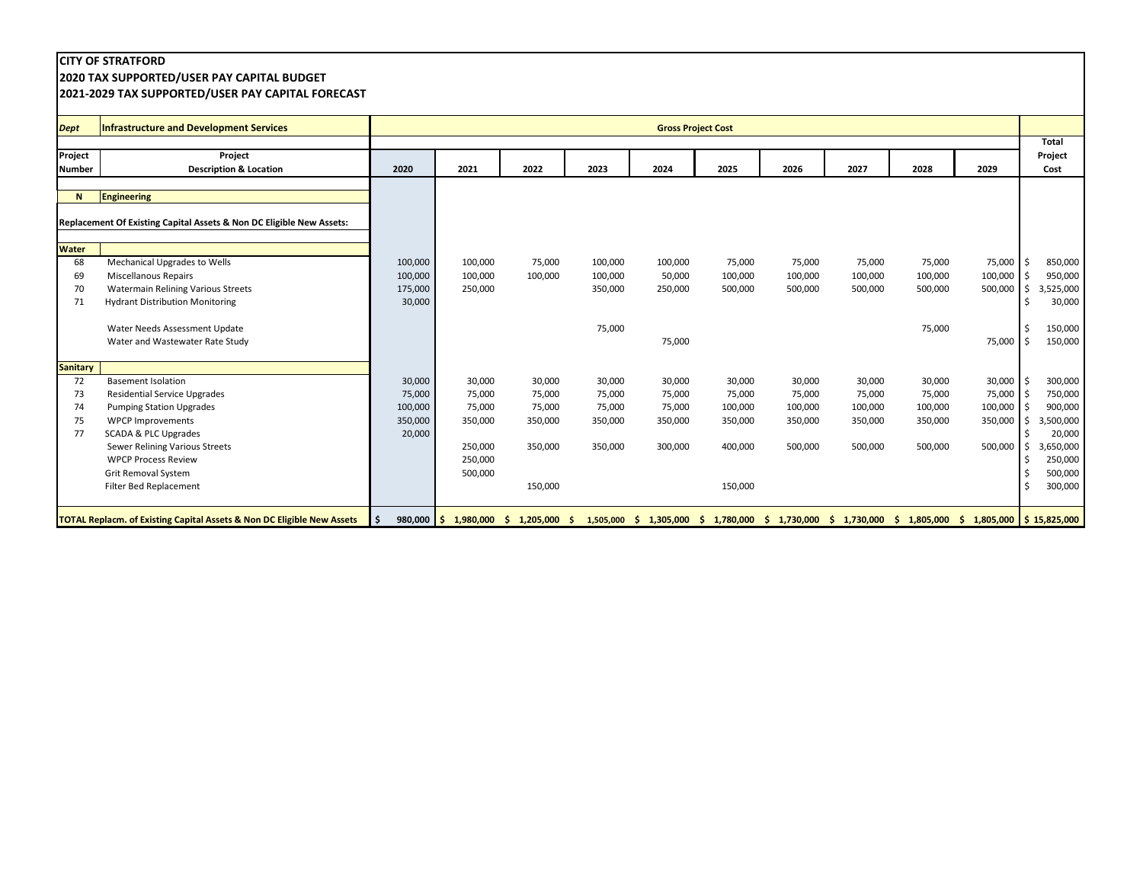## **2020 TAX SUPPORTED/USER PAY CAPITAL BUDGET**

## **2021-2029 TAX SUPPORTED/USER PAY CAPITAL FORECAST**

| <b>Dept</b>                | <b>Infrastructure and Development Services</b>                                                                                                                                                                                                                           |                                                  |                                                                        |                                                             |                                                  |                                                  | <b>Gross Project Cost</b>                                    |                                                   |                                                   |                                                   |                                                   |                                                                                                                             |
|----------------------------|--------------------------------------------------------------------------------------------------------------------------------------------------------------------------------------------------------------------------------------------------------------------------|--------------------------------------------------|------------------------------------------------------------------------|-------------------------------------------------------------|--------------------------------------------------|--------------------------------------------------|--------------------------------------------------------------|---------------------------------------------------|---------------------------------------------------|---------------------------------------------------|---------------------------------------------------|-----------------------------------------------------------------------------------------------------------------------------|
| Project<br><b>Number</b>   | Project<br><b>Description &amp; Location</b>                                                                                                                                                                                                                             | 2020                                             | 2021                                                                   | 2022                                                        | 2023                                             | 2024                                             | 2025                                                         | 2026                                              | 2027                                              | 2028                                              | 2029                                              | <b>Total</b><br>Project<br>Cost                                                                                             |
| N                          | <b>Engineering</b>                                                                                                                                                                                                                                                       |                                                  |                                                                        |                                                             |                                                  |                                                  |                                                              |                                                   |                                                   |                                                   |                                                   |                                                                                                                             |
|                            | Replacement Of Existing Capital Assets & Non DC Eligible New Assets:                                                                                                                                                                                                     |                                                  |                                                                        |                                                             |                                                  |                                                  |                                                              |                                                   |                                                   |                                                   |                                                   |                                                                                                                             |
| <b>Water</b>               |                                                                                                                                                                                                                                                                          |                                                  |                                                                        |                                                             |                                                  |                                                  |                                                              |                                                   |                                                   |                                                   |                                                   |                                                                                                                             |
| 68<br>69<br>70<br>71       | Mechanical Upgrades to Wells<br><b>Miscellanous Repairs</b><br><b>Watermain Relining Various Streets</b><br><b>Hydrant Distribution Monitoring</b>                                                                                                                       | 100,000<br>100,000<br>175,000<br>30,000          | 100,000<br>100,000<br>250,000                                          | 75,000<br>100,000                                           | 100,000<br>100,000<br>350,000                    | 100,000<br>50,000<br>250,000                     | 75,000<br>100,000<br>500,000                                 | 75,000<br>100,000<br>500,000                      | 75,000<br>100,000<br>500,000                      | 75,000<br>100,000<br>500,000                      | 75,000 \$<br>100,000<br>500,000                   | 850,000<br>950,000<br>3,525,000<br>30,000                                                                                   |
|                            | Water Needs Assessment Update<br>Water and Wastewater Rate Study                                                                                                                                                                                                         |                                                  |                                                                        |                                                             | 75,000                                           | 75,000                                           |                                                              |                                                   |                                                   | 75,000                                            | 75,000 \$                                         | l \$<br>150,000<br>150,000                                                                                                  |
| <b>Sanitary</b>            |                                                                                                                                                                                                                                                                          |                                                  |                                                                        |                                                             |                                                  |                                                  |                                                              |                                                   |                                                   |                                                   |                                                   |                                                                                                                             |
| 72<br>73<br>74<br>75<br>77 | <b>Basement Isolation</b><br><b>Residential Service Upgrades</b><br><b>Pumping Station Upgrades</b><br><b>WPCP Improvements</b><br>SCADA & PLC Upgrades<br>Sewer Relining Various Streets<br><b>WPCP Process Review</b><br>Grit Removal System<br>Filter Bed Replacement | 30,000<br>75,000<br>100,000<br>350,000<br>20,000 | 30,000<br>75,000<br>75,000<br>350,000<br>250,000<br>250,000<br>500,000 | 30,000<br>75,000<br>75,000<br>350,000<br>350,000<br>150,000 | 30,000<br>75,000<br>75,000<br>350,000<br>350,000 | 30,000<br>75,000<br>75,000<br>350,000<br>300,000 | 30,000<br>75,000<br>100,000<br>350,000<br>400,000<br>150,000 | 30,000<br>75,000<br>100,000<br>350,000<br>500,000 | 30,000<br>75,000<br>100,000<br>350,000<br>500,000 | 30,000<br>75,000<br>100,000<br>350,000<br>500,000 | 30,000<br>75,000<br>100,000<br>350,000<br>500,000 | 300,000<br>750,000<br>900,000<br>3,500,000<br>20,000<br>,650,000<br>3<br>250,000<br>-\$<br>\$ ا<br>500,000<br>Ŝ.<br>300,000 |
|                            | <b>TOTAL Replacm. of Existing Capital Assets &amp; Non DC Eligible New Assets</b>                                                                                                                                                                                        | ۱\$.                                             | $980,000$ \$ 1,980,000                                                 | $1,205,000$ \$<br>S.                                        | 1,505,000                                        | \$1,305,000                                      | \$1,780,000                                                  |                                                   | $$1,730,000$$ $$1,730,000$                        | \$1,805,000                                       |                                                   | $\frac{1}{2}$ ,805,000 $\frac{1}{2}$ 15,825,000                                                                             |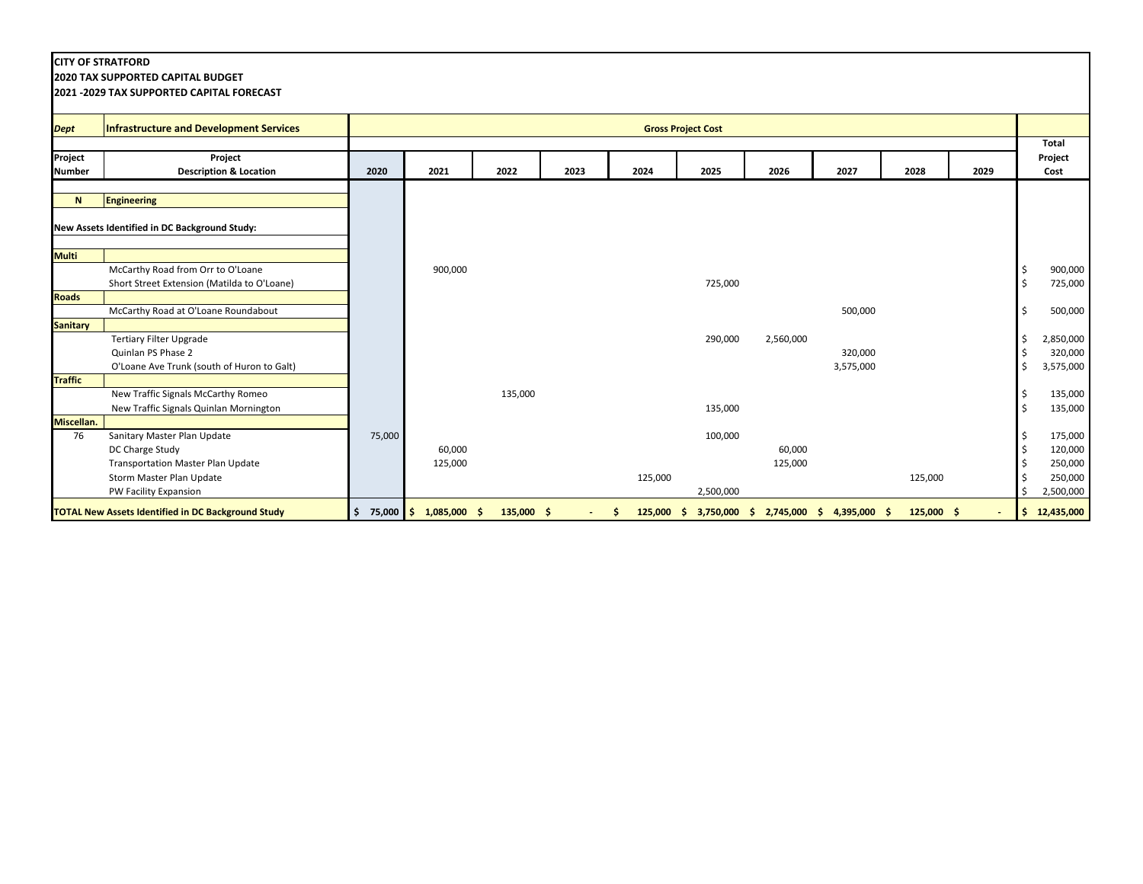**2020 TAX SUPPORTED CAPITAL BUDGET**

| <b>Dept</b>     | Infrastructure and Development Services                   |              |                |              |      |         | <b>Gross Project Cost</b>                         |           |           |              |      |              |
|-----------------|-----------------------------------------------------------|--------------|----------------|--------------|------|---------|---------------------------------------------------|-----------|-----------|--------------|------|--------------|
|                 |                                                           |              |                |              |      |         |                                                   |           |           |              |      | <b>Total</b> |
| Project         | Project                                                   |              |                |              |      |         |                                                   |           |           |              |      | Project      |
| <b>Number</b>   | <b>Description &amp; Location</b>                         | 2020         | 2021           | 2022         | 2023 | 2024    | 2025                                              | 2026      | 2027      | 2028         | 2029 | Cost         |
| N               | Engineering                                               |              |                |              |      |         |                                                   |           |           |              |      |              |
|                 |                                                           |              |                |              |      |         |                                                   |           |           |              |      |              |
|                 | New Assets Identified in DC Background Study:             |              |                |              |      |         |                                                   |           |           |              |      |              |
| <b>Multi</b>    |                                                           |              |                |              |      |         |                                                   |           |           |              |      |              |
|                 | McCarthy Road from Orr to O'Loane                         |              | 900,000        |              |      |         |                                                   |           |           |              |      | 900,000      |
|                 | Short Street Extension (Matilda to O'Loane)               |              |                |              |      |         | 725,000                                           |           |           |              |      | 725,000      |
| <b>Roads</b>    |                                                           |              |                |              |      |         |                                                   |           |           |              |      |              |
|                 | McCarthy Road at O'Loane Roundabout                       |              |                |              |      |         |                                                   |           | 500,000   |              |      | 500,000      |
| <b>Sanitary</b> |                                                           |              |                |              |      |         |                                                   |           |           |              |      |              |
|                 | <b>Tertiary Filter Upgrade</b>                            |              |                |              |      |         | 290,000                                           | 2,560,000 |           |              |      | 2,850,000    |
|                 | Quinlan PS Phase 2                                        |              |                |              |      |         |                                                   |           | 320,000   |              |      | 320,000      |
|                 | O'Loane Ave Trunk (south of Huron to Galt)                |              |                |              |      |         |                                                   |           | 3,575,000 |              |      | 3,575,000    |
| <b>Traffic</b>  |                                                           |              |                |              |      |         |                                                   |           |           |              |      |              |
|                 | New Traffic Signals McCarthy Romeo                        |              |                | 135,000      |      |         |                                                   |           |           |              |      | 135,000      |
|                 | New Traffic Signals Quinlan Mornington                    |              |                |              |      |         | 135,000                                           |           |           |              |      | 135,000      |
| Miscellan.      |                                                           |              |                |              |      |         |                                                   |           |           |              |      |              |
| 76              | Sanitary Master Plan Update                               | 75,000       |                |              |      |         | 100,000                                           |           |           |              |      | 175,000      |
|                 | DC Charge Study                                           |              | 60,000         |              |      |         |                                                   | 60,000    |           |              |      | 120,000      |
|                 | <b>Transportation Master Plan Update</b>                  |              | 125,000        |              |      |         |                                                   | 125,000   |           |              |      | 250,000      |
|                 | Storm Master Plan Update                                  |              |                |              |      | 125,000 |                                                   |           |           | 125,000      |      | 250,000      |
|                 | PW Facility Expansion                                     |              |                |              |      |         | 2,500,000                                         |           |           |              |      | 2,500,000    |
|                 | <b>TOTAL New Assets Identified in DC Background Study</b> | $$75,000$ \$ | $1,085,000$ \$ | $135,000$ \$ |      | Ŝ.      | 125,000 \$ 3,750,000 \$ 2,745,000 \$ 4,395,000 \$ |           |           | $125,000$ \$ |      | \$12,435,000 |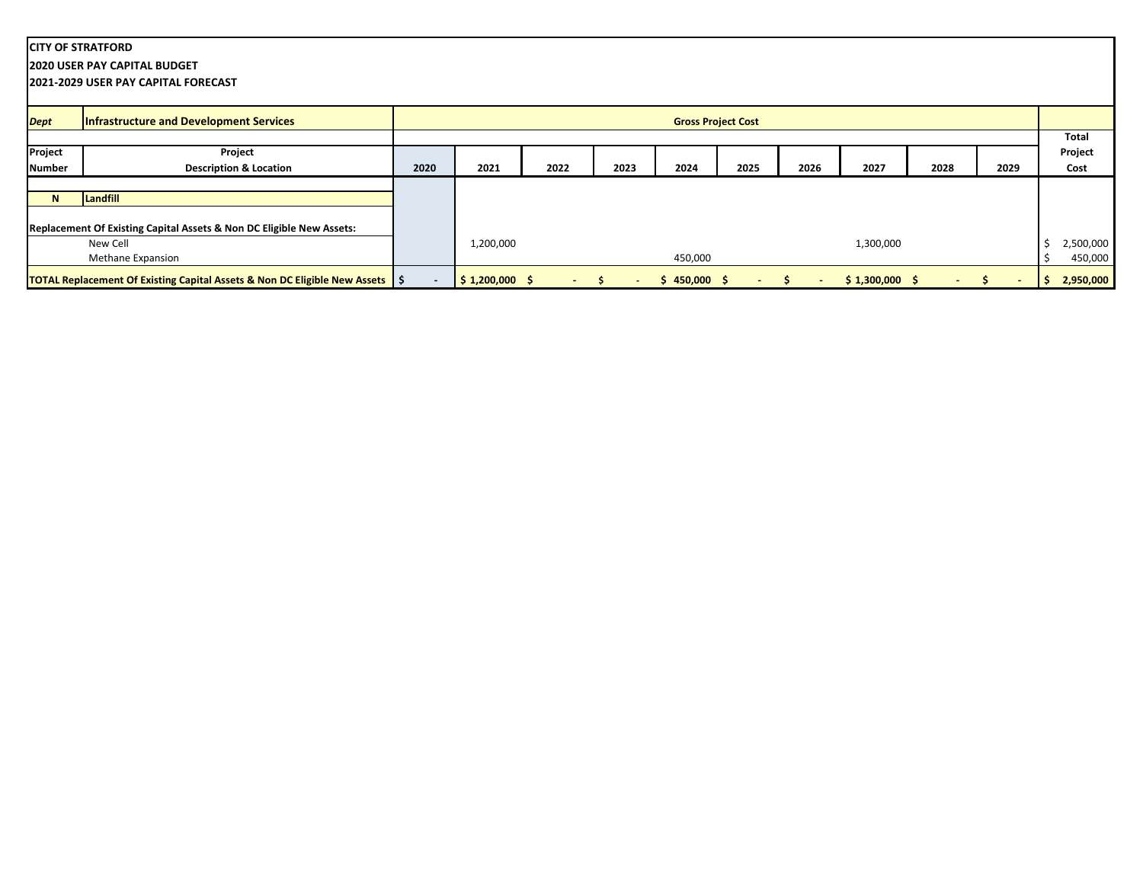**2020 USER PAY CAPITAL BUDGET**

**2021-2029 USER PAY CAPITAL FORECAST**

| <b>Dept</b>   | <b>Infrastructure and Development Services</b>                                            |      |                             |      |      |               | <b>Gross Project Cost</b> |      |                 |      |      |           |
|---------------|-------------------------------------------------------------------------------------------|------|-----------------------------|------|------|---------------|---------------------------|------|-----------------|------|------|-----------|
|               |                                                                                           |      |                             |      |      |               |                           |      |                 |      |      | Total     |
| Project       | Project                                                                                   |      |                             |      |      |               |                           |      |                 |      |      | Project   |
| <b>Number</b> | <b>Description &amp; Location</b>                                                         | 2020 | 2021                        | 2022 | 2023 | 2024          | 2025                      | 2026 | 2027            | 2028 | 2029 | Cost      |
|               |                                                                                           |      |                             |      |      |               |                           |      |                 |      |      |           |
| N             | Landfill                                                                                  |      |                             |      |      |               |                           |      |                 |      |      |           |
|               |                                                                                           |      |                             |      |      |               |                           |      |                 |      |      |           |
|               | Replacement Of Existing Capital Assets & Non DC Eligible New Assets:                      |      |                             |      |      |               |                           |      |                 |      |      |           |
|               | New Cell                                                                                  |      | 1,200,000                   |      |      |               |                           |      | 1,300,000       |      |      | 2,500,000 |
|               | <b>Methane Expansion</b>                                                                  |      |                             |      |      | 450,000       |                           |      |                 |      |      | 450,000   |
|               | <b>TOTAL Replacement Of Existing Capital Assets &amp; Non DC Eligible New Assets   \$</b> |      | $\frac{1}{2}$ \$1,200,000\$ |      |      | $$450,000$ \$ | $\sim$                    |      | $$1,300,000$ \$ |      |      | 2,950,000 |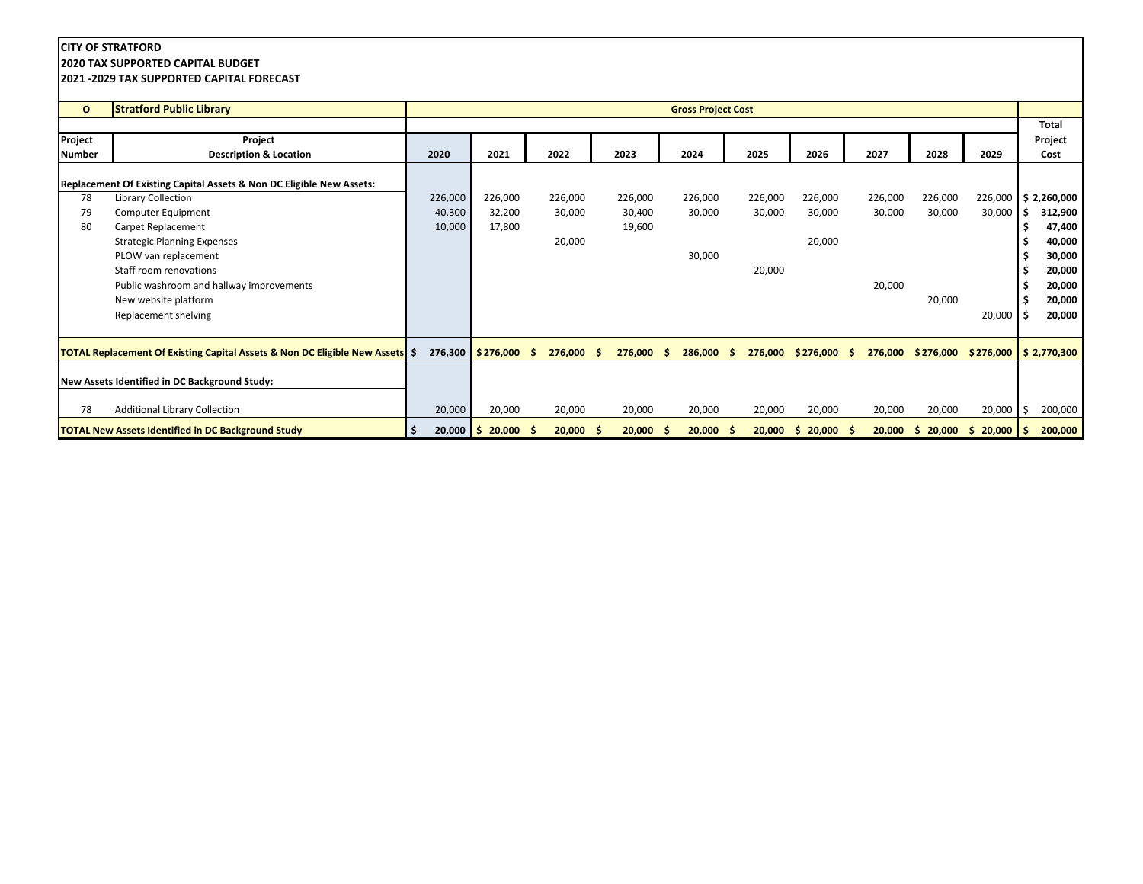**2020 TAX SUPPORTED CAPITAL BUDGET**

| $\mathbf{o}$  | <b>Stratford Public Library</b>                                              |                    |                         |             |               | <b>Gross Project Cost</b> |               |                  |               |             |          |                         |
|---------------|------------------------------------------------------------------------------|--------------------|-------------------------|-------------|---------------|---------------------------|---------------|------------------|---------------|-------------|----------|-------------------------|
|               |                                                                              |                    |                         |             |               |                           |               |                  |               |             |          | Total                   |
| Project       | Project                                                                      |                    |                         |             |               |                           |               |                  |               |             |          | Project                 |
| <b>Number</b> | <b>Description &amp; Location</b>                                            | 2020               | 2021                    | 2022        | 2023          | 2024                      | 2025          | 2026             | 2027          | 2028        | 2029     | Cost                    |
|               | Replacement Of Existing Capital Assets & Non DC Eligible New Assets:         |                    |                         |             |               |                           |               |                  |               |             |          |                         |
| 78            | Library Collection                                                           | 226,000            | 226,000                 | 226,000     | 226,000       | 226,000                   | 226,000       | 226,000          | 226,000       | 226,000     | 226,000  | \$2,260,000             |
| 79            | Computer Equipment                                                           | 40,300             | 32,200                  | 30,000      | 30,400        | 30,000                    | 30,000        | 30,000           | 30,000        | 30,000      | 30,000   | 312,900<br>s            |
| 80            | Carpet Replacement                                                           | 10,000             | 17,800                  |             | 19,600        |                           |               |                  |               |             |          | 47,400                  |
|               | <b>Strategic Planning Expenses</b>                                           |                    |                         | 20,000      |               |                           |               | 20,000           |               |             |          | 40,000                  |
|               | PLOW van replacement                                                         |                    |                         |             |               | 30,000                    |               |                  |               |             |          | 30,000                  |
|               | Staff room renovations                                                       |                    |                         |             |               |                           | 20,000        |                  |               |             |          | 20,000                  |
|               | Public washroom and hallway improvements                                     |                    |                         |             |               |                           |               |                  | 20,000        |             |          | 20,000                  |
|               | New website platform                                                         |                    |                         |             |               |                           |               |                  |               | 20,000      |          | 20,000                  |
|               | Replacement shelving                                                         |                    |                         |             |               |                           |               |                  |               |             | 20,000   | 20,000<br>Ŝ.            |
|               |                                                                              |                    |                         |             |               |                           |               |                  |               |             |          |                         |
|               | TOTAL Replacement Of Existing Capital Assets & Non DC Eligible New Assets \$ | 276,300            | $\frac{1}{2}$ \$276,000 | 276,000     | 276,000<br>-S | 286,000<br>.s             | 276,000<br>-S | \$276,000        | 276,000<br>-S | \$276,000   |          | $$276,000$ $$2,770,300$ |
|               |                                                                              |                    |                         |             |               |                           |               |                  |               |             |          |                         |
|               | New Assets Identified in DC Background Study:                                |                    |                         |             |               |                           |               |                  |               |             |          |                         |
| 78            | <b>Additional Library Collection</b>                                         | 20,000             | 20,000                  | 20,000      | 20,000        | 20,000                    | 20,000        | 20,000           | 20,000        | 20,000      | 20,000   | 200,000<br>Ŝ.           |
|               | <b>TOTAL New Assets Identified in DC Background Study</b>                    | $20,000$   \$<br>Ŝ | $20,000$ \$             | $20,000$ \$ | 20,000        | 20,000<br>-S              | 20,000<br>- S | $20,000$ \$<br>S | 20,000        | 20,000<br>S | \$20,000 | 200,000<br>S            |